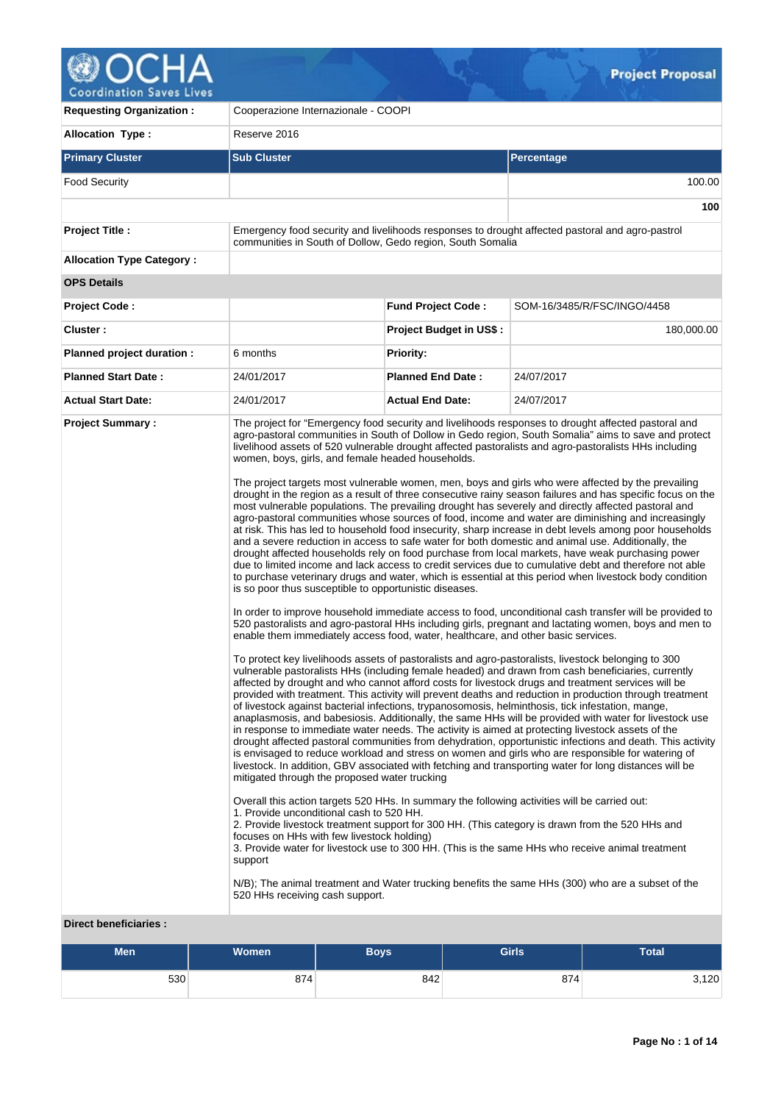

 $\sqrt{2}$ 

| <b>Requesting Organization:</b>                         | Cooperazione Internazionale - COOPI                                                                                                                                                                                                                                                                                                                                                                                                                                                        |                                |                                                                                                                                                                                                                                                                                                                                                                                                                                                                                                                                                                                                                                                                                                                                                                                                                                                                                                                                                                                                                                                                                                                                                                                                                                                                                                                                                                                                                                                                                                                                                                                                                                                                                                                                                                                                                                                                                                                                                                                                                                                                                                                                                                                                                                                                                                                                                                                                                                                                                                                                                                                                                                                                                                                                                                                                                                                                                                                |  |  |  |  |
|---------------------------------------------------------|--------------------------------------------------------------------------------------------------------------------------------------------------------------------------------------------------------------------------------------------------------------------------------------------------------------------------------------------------------------------------------------------------------------------------------------------------------------------------------------------|--------------------------------|----------------------------------------------------------------------------------------------------------------------------------------------------------------------------------------------------------------------------------------------------------------------------------------------------------------------------------------------------------------------------------------------------------------------------------------------------------------------------------------------------------------------------------------------------------------------------------------------------------------------------------------------------------------------------------------------------------------------------------------------------------------------------------------------------------------------------------------------------------------------------------------------------------------------------------------------------------------------------------------------------------------------------------------------------------------------------------------------------------------------------------------------------------------------------------------------------------------------------------------------------------------------------------------------------------------------------------------------------------------------------------------------------------------------------------------------------------------------------------------------------------------------------------------------------------------------------------------------------------------------------------------------------------------------------------------------------------------------------------------------------------------------------------------------------------------------------------------------------------------------------------------------------------------------------------------------------------------------------------------------------------------------------------------------------------------------------------------------------------------------------------------------------------------------------------------------------------------------------------------------------------------------------------------------------------------------------------------------------------------------------------------------------------------------------------------------------------------------------------------------------------------------------------------------------------------------------------------------------------------------------------------------------------------------------------------------------------------------------------------------------------------------------------------------------------------------------------------------------------------------------------------------------------------|--|--|--|--|
| <b>Allocation Type:</b>                                 | Reserve 2016                                                                                                                                                                                                                                                                                                                                                                                                                                                                               |                                |                                                                                                                                                                                                                                                                                                                                                                                                                                                                                                                                                                                                                                                                                                                                                                                                                                                                                                                                                                                                                                                                                                                                                                                                                                                                                                                                                                                                                                                                                                                                                                                                                                                                                                                                                                                                                                                                                                                                                                                                                                                                                                                                                                                                                                                                                                                                                                                                                                                                                                                                                                                                                                                                                                                                                                                                                                                                                                                |  |  |  |  |
| <b>Primary Cluster</b>                                  | <b>Sub Cluster</b>                                                                                                                                                                                                                                                                                                                                                                                                                                                                         |                                | Percentage                                                                                                                                                                                                                                                                                                                                                                                                                                                                                                                                                                                                                                                                                                                                                                                                                                                                                                                                                                                                                                                                                                                                                                                                                                                                                                                                                                                                                                                                                                                                                                                                                                                                                                                                                                                                                                                                                                                                                                                                                                                                                                                                                                                                                                                                                                                                                                                                                                                                                                                                                                                                                                                                                                                                                                                                                                                                                                     |  |  |  |  |
| <b>Food Security</b>                                    |                                                                                                                                                                                                                                                                                                                                                                                                                                                                                            |                                | 100.00                                                                                                                                                                                                                                                                                                                                                                                                                                                                                                                                                                                                                                                                                                                                                                                                                                                                                                                                                                                                                                                                                                                                                                                                                                                                                                                                                                                                                                                                                                                                                                                                                                                                                                                                                                                                                                                                                                                                                                                                                                                                                                                                                                                                                                                                                                                                                                                                                                                                                                                                                                                                                                                                                                                                                                                                                                                                                                         |  |  |  |  |
|                                                         |                                                                                                                                                                                                                                                                                                                                                                                                                                                                                            |                                | 100                                                                                                                                                                                                                                                                                                                                                                                                                                                                                                                                                                                                                                                                                                                                                                                                                                                                                                                                                                                                                                                                                                                                                                                                                                                                                                                                                                                                                                                                                                                                                                                                                                                                                                                                                                                                                                                                                                                                                                                                                                                                                                                                                                                                                                                                                                                                                                                                                                                                                                                                                                                                                                                                                                                                                                                                                                                                                                            |  |  |  |  |
| <b>Project Title:</b>                                   | communities in South of Dollow, Gedo region, South Somalia                                                                                                                                                                                                                                                                                                                                                                                                                                 |                                | Emergency food security and livelihoods responses to drought affected pastoral and agro-pastrol                                                                                                                                                                                                                                                                                                                                                                                                                                                                                                                                                                                                                                                                                                                                                                                                                                                                                                                                                                                                                                                                                                                                                                                                                                                                                                                                                                                                                                                                                                                                                                                                                                                                                                                                                                                                                                                                                                                                                                                                                                                                                                                                                                                                                                                                                                                                                                                                                                                                                                                                                                                                                                                                                                                                                                                                                |  |  |  |  |
| <b>Allocation Type Category:</b>                        |                                                                                                                                                                                                                                                                                                                                                                                                                                                                                            |                                |                                                                                                                                                                                                                                                                                                                                                                                                                                                                                                                                                                                                                                                                                                                                                                                                                                                                                                                                                                                                                                                                                                                                                                                                                                                                                                                                                                                                                                                                                                                                                                                                                                                                                                                                                                                                                                                                                                                                                                                                                                                                                                                                                                                                                                                                                                                                                                                                                                                                                                                                                                                                                                                                                                                                                                                                                                                                                                                |  |  |  |  |
| <b>OPS Details</b>                                      |                                                                                                                                                                                                                                                                                                                                                                                                                                                                                            |                                |                                                                                                                                                                                                                                                                                                                                                                                                                                                                                                                                                                                                                                                                                                                                                                                                                                                                                                                                                                                                                                                                                                                                                                                                                                                                                                                                                                                                                                                                                                                                                                                                                                                                                                                                                                                                                                                                                                                                                                                                                                                                                                                                                                                                                                                                                                                                                                                                                                                                                                                                                                                                                                                                                                                                                                                                                                                                                                                |  |  |  |  |
| <b>Project Code:</b>                                    |                                                                                                                                                                                                                                                                                                                                                                                                                                                                                            | <b>Fund Project Code:</b>      | SOM-16/3485/R/FSC/INGO/4458                                                                                                                                                                                                                                                                                                                                                                                                                                                                                                                                                                                                                                                                                                                                                                                                                                                                                                                                                                                                                                                                                                                                                                                                                                                                                                                                                                                                                                                                                                                                                                                                                                                                                                                                                                                                                                                                                                                                                                                                                                                                                                                                                                                                                                                                                                                                                                                                                                                                                                                                                                                                                                                                                                                                                                                                                                                                                    |  |  |  |  |
| Cluster:                                                |                                                                                                                                                                                                                                                                                                                                                                                                                                                                                            | <b>Project Budget in US\$:</b> | 180,000.00                                                                                                                                                                                                                                                                                                                                                                                                                                                                                                                                                                                                                                                                                                                                                                                                                                                                                                                                                                                                                                                                                                                                                                                                                                                                                                                                                                                                                                                                                                                                                                                                                                                                                                                                                                                                                                                                                                                                                                                                                                                                                                                                                                                                                                                                                                                                                                                                                                                                                                                                                                                                                                                                                                                                                                                                                                                                                                     |  |  |  |  |
| Planned project duration :                              | 6 months                                                                                                                                                                                                                                                                                                                                                                                                                                                                                   | <b>Priority:</b>               |                                                                                                                                                                                                                                                                                                                                                                                                                                                                                                                                                                                                                                                                                                                                                                                                                                                                                                                                                                                                                                                                                                                                                                                                                                                                                                                                                                                                                                                                                                                                                                                                                                                                                                                                                                                                                                                                                                                                                                                                                                                                                                                                                                                                                                                                                                                                                                                                                                                                                                                                                                                                                                                                                                                                                                                                                                                                                                                |  |  |  |  |
| <b>Planned Start Date:</b>                              | 24/01/2017                                                                                                                                                                                                                                                                                                                                                                                                                                                                                 | <b>Planned End Date:</b>       | 24/07/2017                                                                                                                                                                                                                                                                                                                                                                                                                                                                                                                                                                                                                                                                                                                                                                                                                                                                                                                                                                                                                                                                                                                                                                                                                                                                                                                                                                                                                                                                                                                                                                                                                                                                                                                                                                                                                                                                                                                                                                                                                                                                                                                                                                                                                                                                                                                                                                                                                                                                                                                                                                                                                                                                                                                                                                                                                                                                                                     |  |  |  |  |
| <b>Actual Start Date:</b>                               | 24/01/2017                                                                                                                                                                                                                                                                                                                                                                                                                                                                                 | <b>Actual End Date:</b>        | 24/07/2017                                                                                                                                                                                                                                                                                                                                                                                                                                                                                                                                                                                                                                                                                                                                                                                                                                                                                                                                                                                                                                                                                                                                                                                                                                                                                                                                                                                                                                                                                                                                                                                                                                                                                                                                                                                                                                                                                                                                                                                                                                                                                                                                                                                                                                                                                                                                                                                                                                                                                                                                                                                                                                                                                                                                                                                                                                                                                                     |  |  |  |  |
| <b>Project Summary:</b><br><b>Direct beneficiaries:</b> | women, boys, girls, and female headed households.<br>is so poor thus susceptible to opportunistic diseases.<br>enable them immediately access food, water, healthcare, and other basic services.<br>mitigated through the proposed water trucking<br>Overall this action targets 520 HHs. In summary the following activities will be carried out:<br>1. Provide unconditional cash to 520 HH.<br>focuses on HHs with few livestock holding)<br>support<br>520 HHs receiving cash support. |                                | The project for "Emergency food security and livelihoods responses to drought affected pastoral and<br>agro-pastoral communities in South of Dollow in Gedo region, South Somalia" aims to save and protect<br>livelihood assets of 520 vulnerable drought affected pastoralists and agro-pastoralists HHs including<br>The project targets most vulnerable women, men, boys and girls who were affected by the prevailing<br>drought in the region as a result of three consecutive rainy season failures and has specific focus on the<br>most vulnerable populations. The prevailing drought has severely and directly affected pastoral and<br>agro-pastoral communities whose sources of food, income and water are diminishing and increasingly<br>at risk. This has led to household food insecurity, sharp increase in debt levels among poor households<br>and a severe reduction in access to safe water for both domestic and animal use. Additionally, the<br>drought affected households rely on food purchase from local markets, have weak purchasing power<br>due to limited income and lack access to credit services due to cumulative debt and therefore not able<br>to purchase veterinary drugs and water, which is essential at this period when livestock body condition<br>In order to improve household immediate access to food, unconditional cash transfer will be provided to<br>520 pastoralists and agro-pastoral HHs including girls, pregnant and lactating women, boys and men to<br>To protect key livelihoods assets of pastoralists and agro-pastoralists, livestock belonging to 300<br>vulnerable pastoralists HHs (including female headed) and drawn from cash beneficiaries, currently<br>affected by drought and who cannot afford costs for livestock drugs and treatment services will be<br>provided with treatment. This activity will prevent deaths and reduction in production through treatment<br>of livestock against bacterial infections, trypanosomosis, helminthosis, tick infestation, mange,<br>anaplasmosis, and babesiosis. Additionally, the same HHs will be provided with water for livestock use<br>in response to immediate water needs. The activity is aimed at protecting livestock assets of the<br>drought affected pastoral communities from dehydration, opportunistic infections and death. This activity<br>is envisaged to reduce workload and stress on women and girls who are responsible for watering of<br>livestock. In addition, GBV associated with fetching and transporting water for long distances will be<br>2. Provide livestock treatment support for 300 HH. (This category is drawn from the 520 HHs and<br>3. Provide water for livestock use to 300 HH. (This is the same HHs who receive animal treatment<br>N/B); The animal treatment and Water trucking benefits the same HHs (300) who are a subset of the |  |  |  |  |

 $\mathcal{Q}_{\text{eff}}$ 

| <b>Men</b> | Women <sup>'</sup> | Boys' | <b>Girls</b> | <b>Total</b> |
|------------|--------------------|-------|--------------|--------------|
| 530        | 874                | 842   | 874          | 3,120        |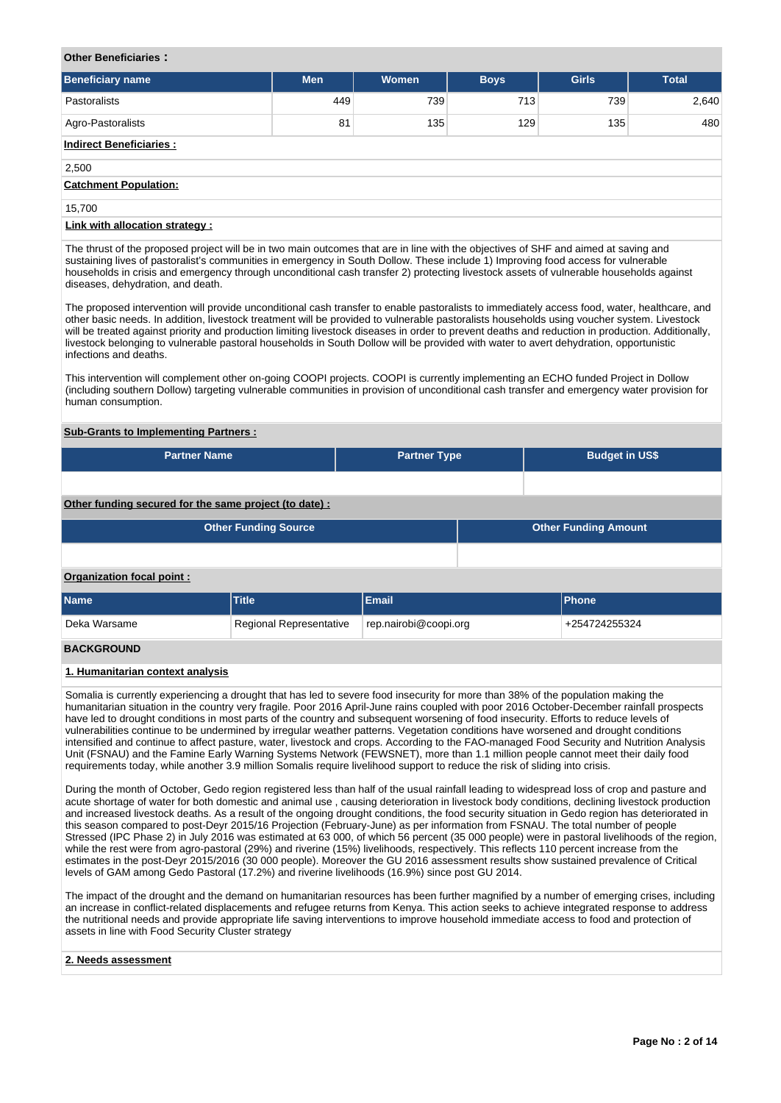# **Other Beneficiaries :**

| <b>Beneficiary name</b>        | <b>Men</b> | <b>Women</b> | <b>Boys</b> | <b>Girls</b> | <b>Total</b> |
|--------------------------------|------------|--------------|-------------|--------------|--------------|
| Pastoralists                   | 449        | 739          | 713         | 739          | 2,640        |
| Agro-Pastoralists              | 81         | 135          | 129         | 135          | 480          |
| <b>Indirect Beneficiaries:</b> |            |              |             |              |              |
| 2,500                          |            |              |             |              |              |
| <b>Catchment Population:</b>   |            |              |             |              |              |
| 15,700                         |            |              |             |              |              |
| Link with allocation strategy: |            |              |             |              |              |

The thrust of the proposed project will be in two main outcomes that are in line with the objectives of SHF and aimed at saving and sustaining lives of pastoralist's communities in emergency in South Dollow. These include 1) Improving food access for vulnerable households in crisis and emergency through unconditional cash transfer 2) protecting livestock assets of vulnerable households against diseases, dehydration, and death.

The proposed intervention will provide unconditional cash transfer to enable pastoralists to immediately access food, water, healthcare, and other basic needs. In addition, livestock treatment will be provided to vulnerable pastoralists households using voucher system. Livestock will be treated against priority and production limiting livestock diseases in order to prevent deaths and reduction in production. Additionally, livestock belonging to vulnerable pastoral households in South Dollow will be provided with water to avert dehydration, opportunistic infections and deaths.

This intervention will complement other on-going COOPI projects. COOPI is currently implementing an ECHO funded Project in Dollow (including southern Dollow) targeting vulnerable communities in provision of unconditional cash transfer and emergency water provision for human consumption.

# **Sub-Grants to Implementing Partners :**

| <b>Partner Name</b> | <b>Partner Type</b> | <b>Budget in US\$</b> |
|---------------------|---------------------|-----------------------|
|                     |                     |                       |

# **Other funding secured for the same project (to date) :**

| <b>Other Funding Source</b> | <b>Other Funding Amount</b> |
|-----------------------------|-----------------------------|
|                             |                             |

#### **Organization focal point :**

| <b>Name</b>       | <b>Title</b>            | <b>Email</b>          | <b>IPhone</b> |
|-------------------|-------------------------|-----------------------|---------------|
| Deka Warsame      | Regional Representative | rep.nairobi@coopi.org | +254724255324 |
| <b>DACKCDOUND</b> |                         |                       |               |

# **BACKGROUND**

# **1. Humanitarian context analysis**

Somalia is currently experiencing a drought that has led to severe food insecurity for more than 38% of the population making the humanitarian situation in the country very fragile. Poor 2016 April-June rains coupled with poor 2016 October-December rainfall prospects have led to drought conditions in most parts of the country and subsequent worsening of food insecurity. Efforts to reduce levels of vulnerabilities continue to be undermined by irregular weather patterns. Vegetation conditions have worsened and drought conditions intensified and continue to affect pasture, water, livestock and crops. According to the FAO-managed Food Security and Nutrition Analysis Unit (FSNAU) and the Famine Early Warning Systems Network (FEWSNET), more than 1.1 million people cannot meet their daily food requirements today, while another 3.9 million Somalis require livelihood support to reduce the risk of sliding into crisis.

During the month of October, Gedo region registered less than half of the usual rainfall leading to widespread loss of crop and pasture and acute shortage of water for both domestic and animal use , causing deterioration in livestock body conditions, declining livestock production and increased livestock deaths. As a result of the ongoing drought conditions, the food security situation in Gedo region has deteriorated in this season compared to post-Deyr 2015/16 Projection (February-June) as per information from FSNAU. The total number of people Stressed (IPC Phase 2) in July 2016 was estimated at 63 000, of which 56 percent (35 000 people) were in pastoral livelihoods of the region, while the rest were from agro-pastoral (29%) and riverine (15%) livelihoods, respectively. This reflects 110 percent increase from the estimates in the post-Deyr 2015/2016 (30 000 people). Moreover the GU 2016 assessment results show sustained prevalence of Critical levels of GAM among Gedo Pastoral (17.2%) and riverine livelihoods (16.9%) since post GU 2014.

The impact of the drought and the demand on humanitarian resources has been further magnified by a number of emerging crises, including an increase in conflict-related displacements and refugee returns from Kenya. This action seeks to achieve integrated response to address the nutritional needs and provide appropriate life saving interventions to improve household immediate access to food and protection of assets in line with Food Security Cluster strategy

### **2. Needs assessment**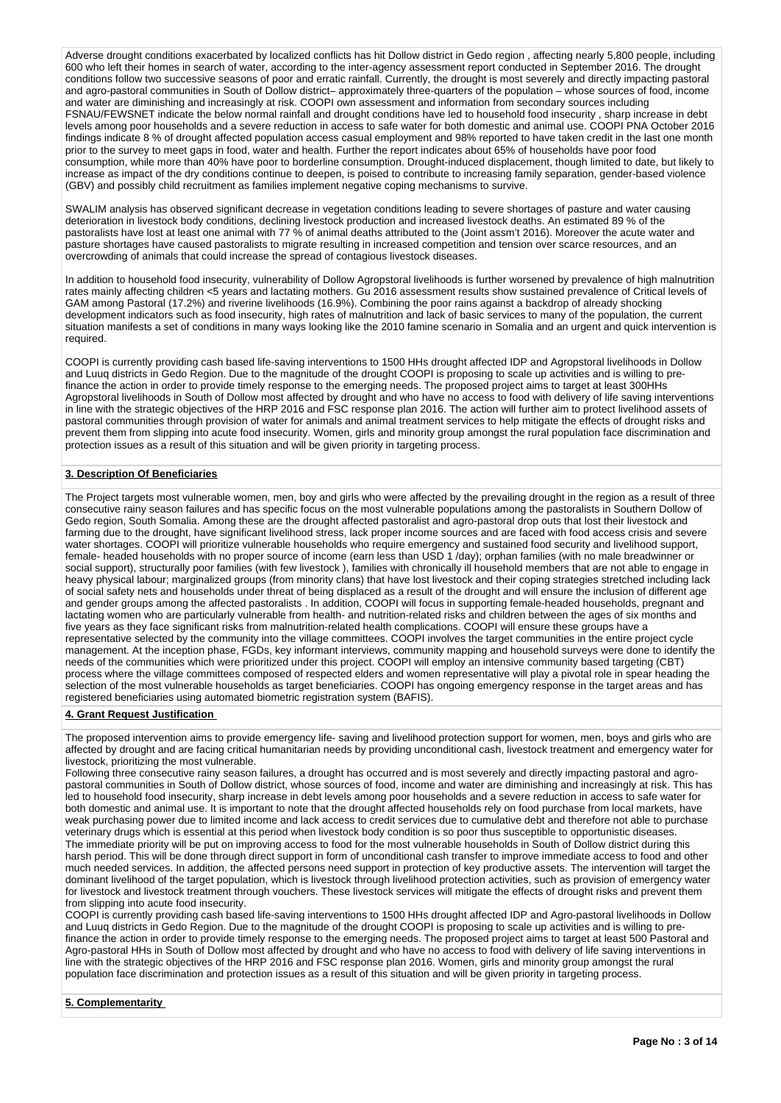Adverse drought conditions exacerbated by localized conflicts has hit Dollow district in Gedo region , affecting nearly 5,800 people, including 600 who left their homes in search of water, according to the inter-agency assessment report conducted in September 2016. The drought conditions follow two successive seasons of poor and erratic rainfall. Currently, the drought is most severely and directly impacting pastoral and agro-pastoral communities in South of Dollow district– approximately three-quarters of the population – whose sources of food, income and water are diminishing and increasingly at risk. COOPI own assessment and information from secondary sources including FSNAU/FEWSNET indicate the below normal rainfall and drought conditions have led to household food insecurity , sharp increase in debt levels among poor households and a severe reduction in access to safe water for both domestic and animal use. COOPI PNA October 2016 findings indicate 8 % of drought affected population access casual employment and 98% reported to have taken credit in the last one month prior to the survey to meet gaps in food, water and health. Further the report indicates about 65% of households have poor food consumption, while more than 40% have poor to borderline consumption. Drought-induced displacement, though limited to date, but likely to increase as impact of the dry conditions continue to deepen, is poised to contribute to increasing family separation, gender-based violence (GBV) and possibly child recruitment as families implement negative coping mechanisms to survive.

SWALIM analysis has observed significant decrease in vegetation conditions leading to severe shortages of pasture and water causing deterioration in livestock body conditions, declining livestock production and increased livestock deaths. An estimated 89 % of the pastoralists have lost at least one animal with 77 % of animal deaths attributed to the (Joint assm't 2016). Moreover the acute water and pasture shortages have caused pastoralists to migrate resulting in increased competition and tension over scarce resources, and an overcrowding of animals that could increase the spread of contagious livestock diseases.

In addition to household food insecurity, vulnerability of Dollow Agropstoral livelihoods is further worsened by prevalence of high malnutrition rates mainly affecting children <5 years and lactating mothers. Gu 2016 assessment results show sustained prevalence of Critical levels of GAM among Pastoral (17.2%) and riverine livelihoods (16.9%). Combining the poor rains against a backdrop of already shocking development indicators such as food insecurity, high rates of malnutrition and lack of basic services to many of the population, the current situation manifests a set of conditions in many ways looking like the 2010 famine scenario in Somalia and an urgent and quick intervention is required.

COOPI is currently providing cash based life-saving interventions to 1500 HHs drought affected IDP and Agropstoral livelihoods in Dollow and Luuq districts in Gedo Region. Due to the magnitude of the drought COOPI is proposing to scale up activities and is willing to prefinance the action in order to provide timely response to the emerging needs. The proposed project aims to target at least 300HHs Agropstoral livelihoods in South of Dollow most affected by drought and who have no access to food with delivery of life saving interventions in line with the strategic objectives of the HRP 2016 and FSC response plan 2016. The action will further aim to protect livelihood assets of pastoral communities through provision of water for animals and animal treatment services to help mitigate the effects of drought risks and prevent them from slipping into acute food insecurity. Women, girls and minority group amongst the rural population face discrimination and protection issues as a result of this situation and will be given priority in targeting process.

# **3. Description Of Beneficiaries**

The Project targets most vulnerable women, men, boy and girls who were affected by the prevailing drought in the region as a result of three consecutive rainy season failures and has specific focus on the most vulnerable populations among the pastoralists in Southern Dollow of Gedo region, South Somalia. Among these are the drought affected pastoralist and agro-pastoral drop outs that lost their livestock and farming due to the drought, have significant livelihood stress, lack proper income sources and are faced with food access crisis and severe water shortages. COOPI will prioritize vulnerable households who require emergency and sustained food security and livelihood support, female- headed households with no proper source of income (earn less than USD 1 /day); orphan families (with no male breadwinner or social support), structurally poor families (with few livestock ), families with chronically ill household members that are not able to engage in heavy physical labour; marginalized groups (from minority clans) that have lost livestock and their coping strategies stretched including lack of social safety nets and households under threat of being displaced as a result of the drought and will ensure the inclusion of different age and gender groups among the affected pastoralists . In addition, COOPI will focus in supporting female-headed households, pregnant and lactating women who are particularly vulnerable from health- and nutrition-related risks and children between the ages of six months and five years as they face significant risks from malnutrition-related health complications. COOPI will ensure these groups have a representative selected by the community into the village committees. COOPI involves the target communities in the entire project cycle management. At the inception phase, FGDs, key informant interviews, community mapping and household surveys were done to identify the needs of the communities which were prioritized under this project. COOPI will employ an intensive community based targeting (CBT) process where the village committees composed of respected elders and women representative will play a pivotal role in spear heading the selection of the most vulnerable households as target beneficiaries. COOPI has ongoing emergency response in the target areas and has registered beneficiaries using automated biometric registration system (BAFIS).

# **4. Grant Request Justification**

The proposed intervention aims to provide emergency life- saving and livelihood protection support for women, men, boys and girls who are affected by drought and are facing critical humanitarian needs by providing unconditional cash, livestock treatment and emergency water for livestock, prioritizing the most vulnerable.

Following three consecutive rainy season failures, a drought has occurred and is most severely and directly impacting pastoral and agropastoral communities in South of Dollow district, whose sources of food, income and water are diminishing and increasingly at risk. This has led to household food insecurity, sharp increase in debt levels among poor households and a severe reduction in access to safe water for both domestic and animal use. It is important to note that the drought affected households rely on food purchase from local markets, have weak purchasing power due to limited income and lack access to credit services due to cumulative debt and therefore not able to purchase veterinary drugs which is essential at this period when livestock body condition is so poor thus susceptible to opportunistic diseases. The immediate priority will be put on improving access to food for the most vulnerable households in South of Dollow district during this harsh period. This will be done through direct support in form of unconditional cash transfer to improve immediate access to food and other much needed services. In addition, the affected persons need support in protection of key productive assets. The intervention will target the dominant livelihood of the target population, which is livestock through livelihood protection activities, such as provision of emergency water for livestock and livestock treatment through vouchers. These livestock services will mitigate the effects of drought risks and prevent them from slipping into acute food insecurity.

COOPI is currently providing cash based life-saving interventions to 1500 HHs drought affected IDP and Agro-pastoral livelihoods in Dollow and Luuq districts in Gedo Region. Due to the magnitude of the drought COOPI is proposing to scale up activities and is willing to prefinance the action in order to provide timely response to the emerging needs. The proposed project aims to target at least 500 Pastoral and Agro-pastoral HHs in South of Dollow most affected by drought and who have no access to food with delivery of life saving interventions in line with the strategic objectives of the HRP 2016 and FSC response plan 2016. Women, girls and minority group amongst the rural population face discrimination and protection issues as a result of this situation and will be given priority in targeting process.

# **5. Complementarity**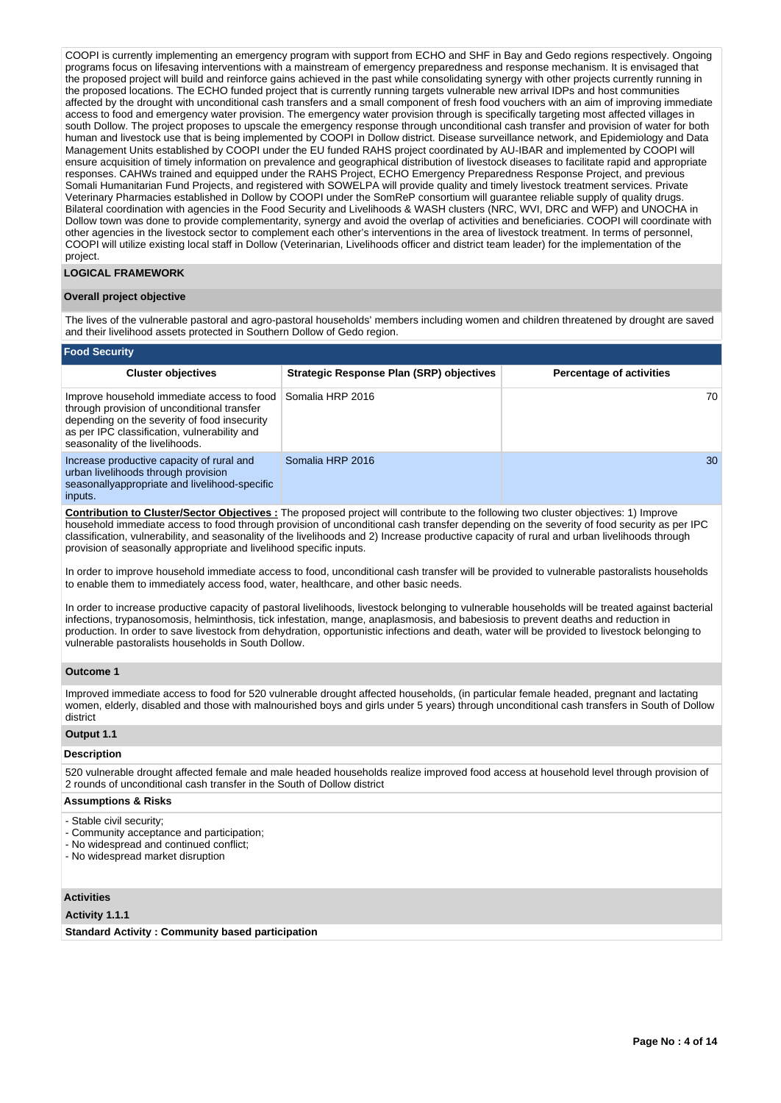COOPI is currently implementing an emergency program with support from ECHO and SHF in Bay and Gedo regions respectively. Ongoing programs focus on lifesaving interventions with a mainstream of emergency preparedness and response mechanism. It is envisaged that the proposed project will build and reinforce gains achieved in the past while consolidating synergy with other projects currently running in the proposed locations. The ECHO funded project that is currently running targets vulnerable new arrival IDPs and host communities affected by the drought with unconditional cash transfers and a small component of fresh food vouchers with an aim of improving immediate access to food and emergency water provision. The emergency water provision through is specifically targeting most affected villages in south Dollow. The project proposes to upscale the emergency response through unconditional cash transfer and provision of water for both human and livestock use that is being implemented by COOPI in Dollow district. Disease surveillance network, and Epidemiology and Data Management Units established by COOPI under the EU funded RAHS project coordinated by AU-IBAR and implemented by COOPI will ensure acquisition of timely information on prevalence and geographical distribution of livestock diseases to facilitate rapid and appropriate responses. CAHWs trained and equipped under the RAHS Project, ECHO Emergency Preparedness Response Project, and previous Somali Humanitarian Fund Projects, and registered with SOWELPA will provide quality and timely livestock treatment services. Private Veterinary Pharmacies established in Dollow by COOPI under the SomReP consortium will guarantee reliable supply of quality drugs. Bilateral coordination with agencies in the Food Security and Livelihoods & WASH clusters (NRC, WVI, DRC and WFP) and UNOCHA in Dollow town was done to provide complementarity, synergy and avoid the overlap of activities and beneficiaries. COOPI will coordinate with other agencies in the livestock sector to complement each other's interventions in the area of livestock treatment. In terms of personnel, COOPI will utilize existing local staff in Dollow (Veterinarian, Livelihoods officer and district team leader) for the implementation of the project.

# **LOGICAL FRAMEWORK**

### **Overall project objective**

The lives of the vulnerable pastoral and agro-pastoral households' members including women and children threatened by drought are saved and their livelihood assets protected in Southern Dollow of Gedo region.

#### **Food Security**

| <b>Cluster objectives</b>                                                                                                                                                                                                    | <b>Strategic Response Plan (SRP) objectives</b> | <b>Percentage of activities</b> |
|------------------------------------------------------------------------------------------------------------------------------------------------------------------------------------------------------------------------------|-------------------------------------------------|---------------------------------|
| Improve household immediate access to food<br>through provision of unconditional transfer<br>depending on the severity of food insecurity<br>as per IPC classification, vulnerability and<br>seasonality of the livelihoods. | l Somalia HRP 2016                              | 70                              |
| Increase productive capacity of rural and<br>urban livelihoods through provision<br>seasonallyappropriate and livelihood-specific<br>inputs.                                                                                 | Somalia HRP 2016                                | 30                              |

**Contribution to Cluster/Sector Objectives :** The proposed project will contribute to the following two cluster objectives: 1) Improve household immediate access to food through provision of unconditional cash transfer depending on the severity of food security as per IPC classification, vulnerability, and seasonality of the livelihoods and 2) Increase productive capacity of rural and urban livelihoods through provision of seasonally appropriate and livelihood specific inputs.

In order to improve household immediate access to food, unconditional cash transfer will be provided to vulnerable pastoralists households to enable them to immediately access food, water, healthcare, and other basic needs.

In order to increase productive capacity of pastoral livelihoods, livestock belonging to vulnerable households will be treated against bacterial infections, trypanosomosis, helminthosis, tick infestation, mange, anaplasmosis, and babesiosis to prevent deaths and reduction in production. In order to save livestock from dehydration, opportunistic infections and death, water will be provided to livestock belonging to vulnerable pastoralists households in South Dollow.

#### **Outcome 1**

Improved immediate access to food for 520 vulnerable drought affected households, (in particular female headed, pregnant and lactating women, elderly, disabled and those with malnourished boys and girls under 5 years) through unconditional cash transfers in South of Dollow district

# **Output 1.1**

#### **Description**

520 vulnerable drought affected female and male headed households realize improved food access at household level through provision of 2 rounds of unconditional cash transfer in the South of Dollow district

## **Assumptions & Risks**

- Stable civil security;
- Community acceptance and participation;
- No widespread and continued conflict;
- No widespread market disruption

# **Activities**

# **Activity 1.1.1**

**Standard Activity : Community based participation**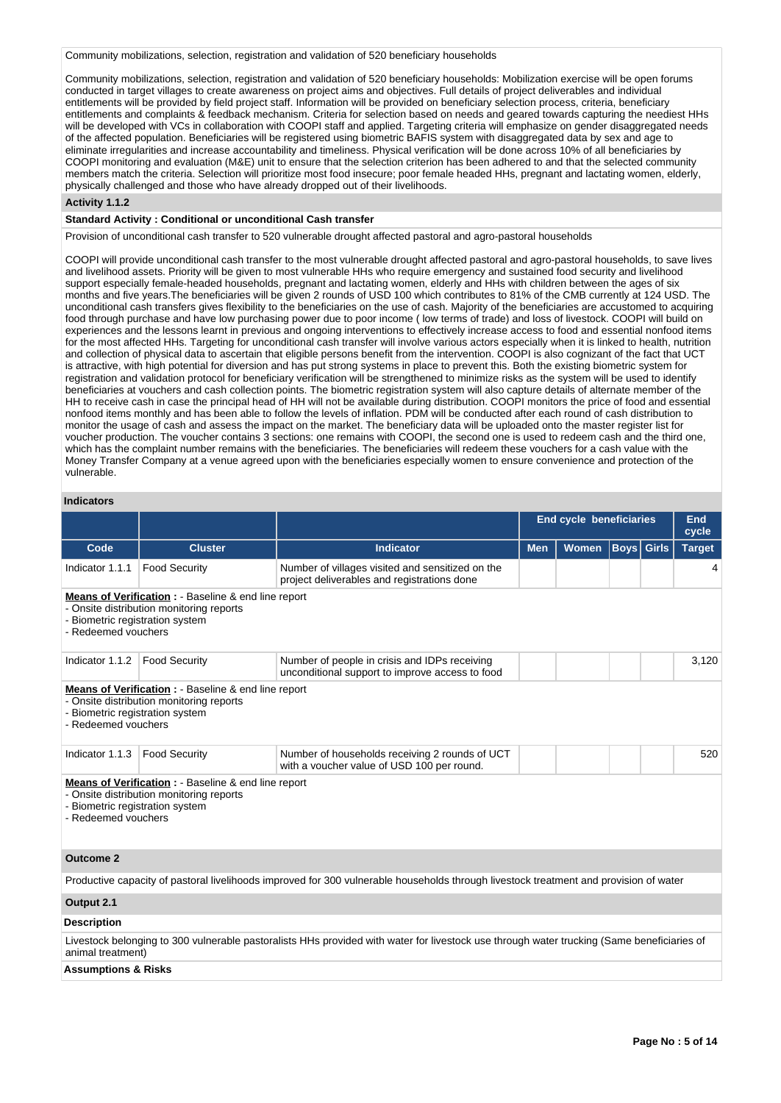Community mobilizations, selection, registration and validation of 520 beneficiary households

Community mobilizations, selection, registration and validation of 520 beneficiary households: Mobilization exercise will be open forums conducted in target villages to create awareness on project aims and objectives. Full details of project deliverables and individual entitlements will be provided by field project staff. Information will be provided on beneficiary selection process, criteria, beneficiary entitlements and complaints & feedback mechanism. Criteria for selection based on needs and geared towards capturing the neediest HHs will be developed with VCs in collaboration with COOPI staff and applied. Targeting criteria will emphasize on gender disaggregated needs of the affected population. Beneficiaries will be registered using biometric BAFIS system with disaggregated data by sex and age to eliminate irregularities and increase accountability and timeliness. Physical verification will be done across 10% of all beneficiaries by COOPI monitoring and evaluation (M&E) unit to ensure that the selection criterion has been adhered to and that the selected community members match the criteria. Selection will prioritize most food insecure; poor female headed HHs, pregnant and lactating women, elderly, physically challenged and those who have already dropped out of their livelihoods.

#### **Activity 1.1.2**

#### **Standard Activity : Conditional or unconditional Cash transfer**

Provision of unconditional cash transfer to 520 vulnerable drought affected pastoral and agro-pastoral households

COOPI will provide unconditional cash transfer to the most vulnerable drought affected pastoral and agro-pastoral households, to save lives and livelihood assets. Priority will be given to most vulnerable HHs who require emergency and sustained food security and livelihood support especially female-headed households, pregnant and lactating women, elderly and HHs with children between the ages of six months and five years.The beneficiaries will be given 2 rounds of USD 100 which contributes to 81% of the CMB currently at 124 USD. The unconditional cash transfers gives flexibility to the beneficiaries on the use of cash. Majority of the beneficiaries are accustomed to acquiring food through purchase and have low purchasing power due to poor income ( low terms of trade) and loss of livestock. COOPI will build on experiences and the lessons learnt in previous and ongoing interventions to effectively increase access to food and essential nonfood items for the most affected HHs. Targeting for unconditional cash transfer will involve various actors especially when it is linked to health, nutrition and collection of physical data to ascertain that eligible persons benefit from the intervention. COOPI is also cognizant of the fact that UCT is attractive, with high potential for diversion and has put strong systems in place to prevent this. Both the existing biometric system for registration and validation protocol for beneficiary verification will be strengthened to minimize risks as the system will be used to identify beneficiaries at vouchers and cash collection points. The biometric registration system will also capture details of alternate member of the HH to receive cash in case the principal head of HH will not be available during distribution. COOPI monitors the price of food and essential nonfood items monthly and has been able to follow the levels of inflation. PDM will be conducted after each round of cash distribution to monitor the usage of cash and assess the impact on the market. The beneficiary data will be uploaded onto the master register list for voucher production. The voucher contains 3 sections: one remains with COOPI, the second one is used to redeem cash and the third one, which has the complaint number remains with the beneficiaries. The beneficiaries will redeem these vouchers for a cash value with the Money Transfer Company at a venue agreed upon with the beneficiaries especially women to ensure convenience and protection of the vulnerable.

# **Indicators**

|                                                                                                                                                                       |                                                                                                             |                                                                                                                                       | <b>End cycle beneficiaries</b> | <b>End</b><br>cycle |             |              |               |
|-----------------------------------------------------------------------------------------------------------------------------------------------------------------------|-------------------------------------------------------------------------------------------------------------|---------------------------------------------------------------------------------------------------------------------------------------|--------------------------------|---------------------|-------------|--------------|---------------|
| Code                                                                                                                                                                  | <b>Cluster</b>                                                                                              | <b>Indicator</b>                                                                                                                      | <b>Men</b>                     | Women               | <b>Boys</b> | <b>Girls</b> | <b>Target</b> |
| Indicator 1.1.1                                                                                                                                                       | <b>Food Security</b>                                                                                        | Number of villages visited and sensitized on the<br>project deliverables and registrations done                                       |                                |                     |             |              | 4             |
| <b>Means of Verification : - Baseline &amp; end line report</b><br>- Onsite distribution monitoring reports<br>- Biometric registration system<br>- Redeemed vouchers |                                                                                                             |                                                                                                                                       |                                |                     |             |              |               |
| Indicator 1.1.2                                                                                                                                                       | <b>Food Security</b>                                                                                        | Number of people in crisis and IDPs receiving<br>unconditional support to improve access to food                                      |                                |                     |             |              | 3,120         |
| - Biometric registration system<br>- Redeemed vouchers                                                                                                                | <b>Means of Verification : - Baseline &amp; end line report</b><br>- Onsite distribution monitoring reports |                                                                                                                                       |                                |                     |             |              |               |
| Indicator 1.1.3                                                                                                                                                       | <b>Food Security</b>                                                                                        | Number of households receiving 2 rounds of UCT<br>with a voucher value of USD 100 per round.                                          |                                |                     |             |              | 520           |
| - Biometric registration system<br>- Redeemed vouchers                                                                                                                | Means of Verification : - Baseline & end line report<br>- Onsite distribution monitoring reports            |                                                                                                                                       |                                |                     |             |              |               |
| <b>Outcome 2</b>                                                                                                                                                      |                                                                                                             |                                                                                                                                       |                                |                     |             |              |               |
|                                                                                                                                                                       |                                                                                                             | Productive capacity of pastoral livelihoods improved for 300 vulnerable households through livestock treatment and provision of water |                                |                     |             |              |               |
| Output 2.1                                                                                                                                                            |                                                                                                             |                                                                                                                                       |                                |                     |             |              |               |
| <b>Description</b>                                                                                                                                                    |                                                                                                             |                                                                                                                                       |                                |                     |             |              |               |
| Livestock belonging to 300 vulnerable pastoralists HHs provided with water for livestock use through water trucking (Same beneficiaries of<br>animal treatment)       |                                                                                                             |                                                                                                                                       |                                |                     |             |              |               |
| <b>Assumptions &amp; Risks</b>                                                                                                                                        |                                                                                                             |                                                                                                                                       |                                |                     |             |              |               |

# **Page No : 5 of 14**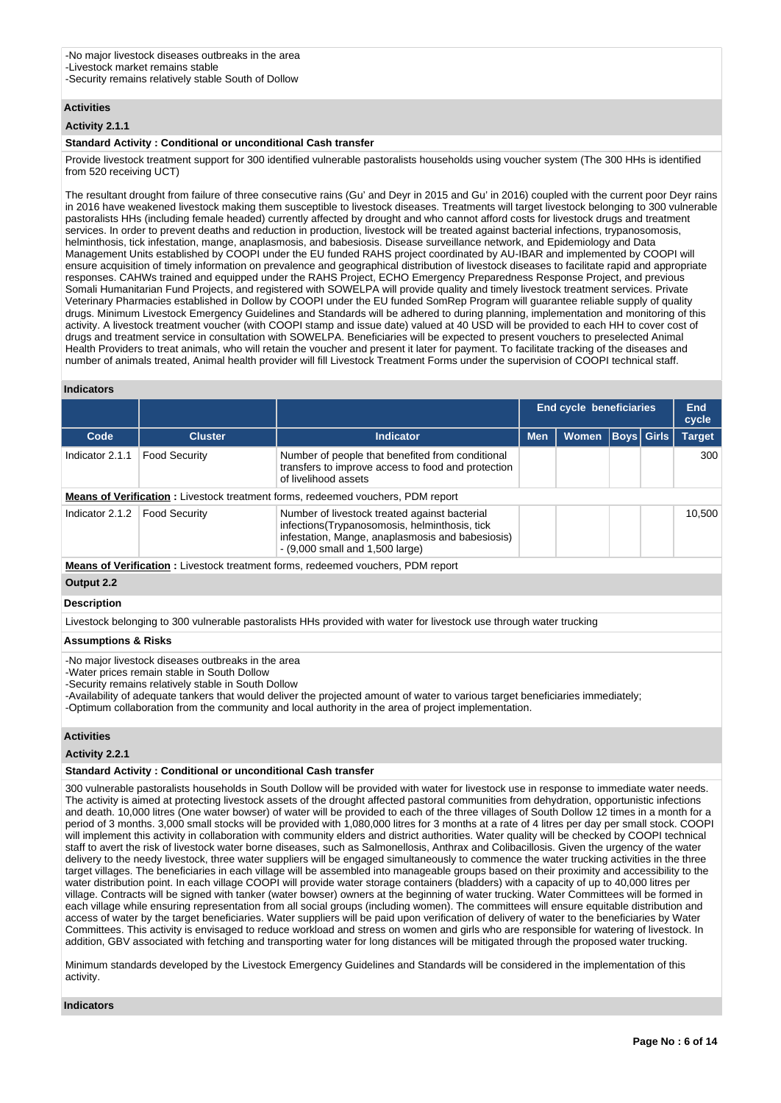# **Activities**

# **Activity 2.1.1**

#### **Standard Activity : Conditional or unconditional Cash transfer**

Provide livestock treatment support for 300 identified vulnerable pastoralists households using voucher system (The 300 HHs is identified from 520 receiving UCT)

The resultant drought from failure of three consecutive rains (Gu' and Deyr in 2015 and Gu' in 2016) coupled with the current poor Deyr rains in 2016 have weakened livestock making them susceptible to livestock diseases. Treatments will target livestock belonging to 300 vulnerable pastoralists HHs (including female headed) currently affected by drought and who cannot afford costs for livestock drugs and treatment services. In order to prevent deaths and reduction in production, livestock will be treated against bacterial infections, trypanosomosis, helminthosis, tick infestation, mange, anaplasmosis, and babesiosis. Disease surveillance network, and Epidemiology and Data Management Units established by COOPI under the EU funded RAHS project coordinated by AU-IBAR and implemented by COOPI will ensure acquisition of timely information on prevalence and geographical distribution of livestock diseases to facilitate rapid and appropriate responses. CAHWs trained and equipped under the RAHS Project, ECHO Emergency Preparedness Response Project, and previous Somali Humanitarian Fund Projects, and registered with SOWELPA will provide quality and timely livestock treatment services. Private Veterinary Pharmacies established in Dollow by COOPI under the EU funded SomRep Program will guarantee reliable supply of quality drugs. Minimum Livestock Emergency Guidelines and Standards will be adhered to during planning, implementation and monitoring of this activity. A livestock treatment voucher (with COOPI stamp and issue date) valued at 40 USD will be provided to each HH to cover cost of drugs and treatment service in consultation with SOWELPA. Beneficiaries will be expected to present vouchers to preselected Animal Health Providers to treat animals, who will retain the voucher and present it later for payment. To facilitate tracking of the diseases and number of animals treated, Animal health provider will fill Livestock Treatment Forms under the supervision of COOPI technical staff.

#### **Indicators**

|                                                                                                                                                                                                                                                                                             |                      |                                                                                                                                                                                          | <b>End cycle beneficiaries</b> | <b>End</b><br>cycle |                   |  |               |
|---------------------------------------------------------------------------------------------------------------------------------------------------------------------------------------------------------------------------------------------------------------------------------------------|----------------------|------------------------------------------------------------------------------------------------------------------------------------------------------------------------------------------|--------------------------------|---------------------|-------------------|--|---------------|
| Code                                                                                                                                                                                                                                                                                        | <b>Cluster</b>       | <b>Indicator</b>                                                                                                                                                                         | <b>Men</b>                     | <b>Women</b>        | <b>Boys</b> Girls |  | <b>Target</b> |
| Indicator 2.1.1                                                                                                                                                                                                                                                                             | <b>Food Security</b> | Number of people that benefited from conditional<br>transfers to improve access to food and protection<br>of livelihood assets                                                           |                                |                     |                   |  | 300           |
|                                                                                                                                                                                                                                                                                             |                      | <b>Means of Verification:</b> Livestock treatment forms, redeemed vouchers, PDM report                                                                                                   |                                |                     |                   |  |               |
| Indicator 2.1.2                                                                                                                                                                                                                                                                             | <b>Food Security</b> | Number of livestock treated against bacterial<br>infections (Trypanosomosis, helminthosis, tick<br>infestation, Mange, anaplasmosis and babesiosis)<br>$-$ (9,000 small and 1,500 large) |                                |                     |                   |  | 10,500        |
|                                                                                                                                                                                                                                                                                             |                      | <b>Means of Verification:</b> Livestock treatment forms, redeemed vouchers, PDM report                                                                                                   |                                |                     |                   |  |               |
| Output 2.2                                                                                                                                                                                                                                                                                  |                      |                                                                                                                                                                                          |                                |                     |                   |  |               |
| <b>Description</b>                                                                                                                                                                                                                                                                          |                      |                                                                                                                                                                                          |                                |                     |                   |  |               |
|                                                                                                                                                                                                                                                                                             |                      | Livestock belonging to 300 vulnerable pastoralists HHs provided with water for livestock use through water trucking                                                                      |                                |                     |                   |  |               |
| <b>Assumptions &amp; Risks</b>                                                                                                                                                                                                                                                              |                      |                                                                                                                                                                                          |                                |                     |                   |  |               |
| -No major livestock diseases outbreaks in the area<br>-Water prices remain stable in South Dollow<br>-Security remains relatively stable in South Dollow<br>-Availability of adequate tankers that would deliver the projected amount of water to various target beneficiaries immediately; |                      |                                                                                                                                                                                          |                                |                     |                   |  |               |

-Optimum collaboration from the community and local authority in the area of project implementation.

# **Activities**

#### **Activity 2.2.1**

#### **Standard Activity : Conditional or unconditional Cash transfer**

300 vulnerable pastoralists households in South Dollow will be provided with water for livestock use in response to immediate water needs. The activity is aimed at protecting livestock assets of the drought affected pastoral communities from dehydration, opportunistic infections and death. 10,000 litres (One water bowser) of water will be provided to each of the three villages of South Dollow 12 times in a month for a period of 3 months. 3,000 small stocks will be provided with 1,080,000 litres for 3 months at a rate of 4 litres per day per small stock. COOPI will implement this activity in collaboration with community elders and district authorities. Water quality will be checked by COOPI technical staff to avert the risk of livestock water borne diseases, such as Salmonellosis, Anthrax and Colibacillosis. Given the urgency of the water delivery to the needy livestock, three water suppliers will be engaged simultaneously to commence the water trucking activities in the three target villages. The beneficiaries in each village will be assembled into manageable groups based on their proximity and accessibility to the water distribution point. In each village COOPI will provide water storage containers (bladders) with a capacity of up to 40,000 litres per village. Contracts will be signed with tanker (water bowser) owners at the beginning of water trucking. Water Committees will be formed in each village while ensuring representation from all social groups (including women). The committees will ensure equitable distribution and access of water by the target beneficiaries. Water suppliers will be paid upon verification of delivery of water to the beneficiaries by Water Committees. This activity is envisaged to reduce workload and stress on women and girls who are responsible for watering of livestock. In addition, GBV associated with fetching and transporting water for long distances will be mitigated through the proposed water trucking.

Minimum standards developed by the Livestock Emergency Guidelines and Standards will be considered in the implementation of this activity.

#### **Indicators**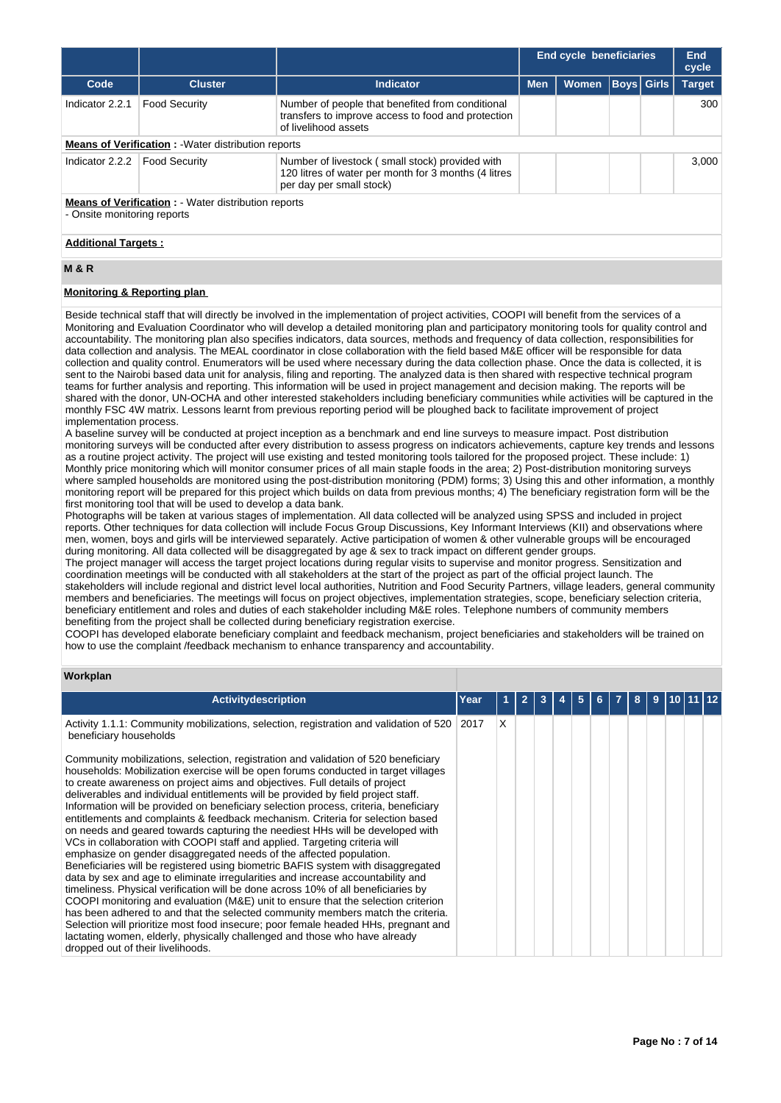|                                                                                                                         |                                                          |                                                                                                                                     | <b>End cycle beneficiaries</b> |              |  |                   | End<br>cycle  |  |  |
|-------------------------------------------------------------------------------------------------------------------------|----------------------------------------------------------|-------------------------------------------------------------------------------------------------------------------------------------|--------------------------------|--------------|--|-------------------|---------------|--|--|
| Code                                                                                                                    | <b>Cluster</b>                                           | <b>Indicator</b>                                                                                                                    | <b>Men</b>                     | <b>Women</b> |  | <b>Boys</b> Girls | <b>Target</b> |  |  |
| Indicator 2.2.1                                                                                                         | <b>Food Security</b>                                     | Number of people that benefited from conditional<br>transfers to improve access to food and protection<br>of livelihood assets      |                                |              |  |                   | 300           |  |  |
|                                                                                                                         | <b>Means of Verification:</b> Water distribution reports |                                                                                                                                     |                                |              |  |                   |               |  |  |
| Indicator 2.2.2                                                                                                         | <b>Food Security</b>                                     | Number of livestock (small stock) provided with<br>120 litres of water per month for 3 months (4 litres<br>per day per small stock) |                                |              |  |                   | 3.000         |  |  |
| <b>Means of Verification:</b> - Water distribution reports<br>- Onsite monitoring reports<br><b>Additional Targets:</b> |                                                          |                                                                                                                                     |                                |              |  |                   |               |  |  |

# **M & R**

# **Monitoring & Reporting plan**

Beside technical staff that will directly be involved in the implementation of project activities, COOPI will benefit from the services of a Monitoring and Evaluation Coordinator who will develop a detailed monitoring plan and participatory monitoring tools for quality control and accountability. The monitoring plan also specifies indicators, data sources, methods and frequency of data collection, responsibilities for data collection and analysis. The MEAL coordinator in close collaboration with the field based M&E officer will be responsible for data collection and quality control. Enumerators will be used where necessary during the data collection phase. Once the data is collected, it is sent to the Nairobi based data unit for analysis, filing and reporting. The analyzed data is then shared with respective technical program teams for further analysis and reporting. This information will be used in project management and decision making. The reports will be shared with the donor, UN-OCHA and other interested stakeholders including beneficiary communities while activities will be captured in the monthly FSC 4W matrix. Lessons learnt from previous reporting period will be ploughed back to facilitate improvement of project implementation process.

A baseline survey will be conducted at project inception as a benchmark and end line surveys to measure impact. Post distribution monitoring surveys will be conducted after every distribution to assess progress on indicators achievements, capture key trends and lessons as a routine project activity. The project will use existing and tested monitoring tools tailored for the proposed project. These include: 1) Monthly price monitoring which will monitor consumer prices of all main staple foods in the area; 2) Post-distribution monitoring surveys where sampled households are monitored using the post-distribution monitoring (PDM) forms; 3) Using this and other information, a monthly monitoring report will be prepared for this project which builds on data from previous months; 4) The beneficiary registration form will be the first monitoring tool that will be used to develop a data bank.

Photographs will be taken at various stages of implementation. All data collected will be analyzed using SPSS and included in project reports. Other techniques for data collection will include Focus Group Discussions, Key Informant Interviews (KII) and observations where men, women, boys and girls will be interviewed separately. Active participation of women & other vulnerable groups will be encouraged during monitoring. All data collected will be disaggregated by age & sex to track impact on different gender groups.

The project manager will access the target project locations during regular visits to supervise and monitor progress. Sensitization and coordination meetings will be conducted with all stakeholders at the start of the project as part of the official project launch. The stakeholders will include regional and district level local authorities, Nutrition and Food Security Partners, village leaders, general community members and beneficiaries. The meetings will focus on project objectives, implementation strategies, scope, beneficiary selection criteria, beneficiary entitlement and roles and duties of each stakeholder including M&E roles. Telephone numbers of community members benefiting from the project shall be collected during beneficiary registration exercise.

COOPI has developed elaborate beneficiary complaint and feedback mechanism, project beneficiaries and stakeholders will be trained on how to use the complaint /feedback mechanism to enhance transparency and accountability.

# **Workplan**

| <b>Activity description</b>                                                                                                                                                                                                                                                                                                                                                                                                                                                                                                                                                                                                                                                                                                                                                                                                                                                                                                                                                                                                                                                                                                                                                                                                                                                                                                                                                                               | Year |   |  |  |  |  |  |  |
|-----------------------------------------------------------------------------------------------------------------------------------------------------------------------------------------------------------------------------------------------------------------------------------------------------------------------------------------------------------------------------------------------------------------------------------------------------------------------------------------------------------------------------------------------------------------------------------------------------------------------------------------------------------------------------------------------------------------------------------------------------------------------------------------------------------------------------------------------------------------------------------------------------------------------------------------------------------------------------------------------------------------------------------------------------------------------------------------------------------------------------------------------------------------------------------------------------------------------------------------------------------------------------------------------------------------------------------------------------------------------------------------------------------|------|---|--|--|--|--|--|--|
| Activity 1.1.1: Community mobilizations, selection, registration and validation of 520   2017<br>beneficiary households                                                                                                                                                                                                                                                                                                                                                                                                                                                                                                                                                                                                                                                                                                                                                                                                                                                                                                                                                                                                                                                                                                                                                                                                                                                                                   |      | X |  |  |  |  |  |  |
| Community mobilizations, selection, registration and validation of 520 beneficiary<br>households: Mobilization exercise will be open forums conducted in target villages<br>to create awareness on project aims and objectives. Full details of project<br>deliverables and individual entitlements will be provided by field project staff.<br>Information will be provided on beneficiary selection process, criteria, beneficiary<br>entitlements and complaints & feedback mechanism. Criteria for selection based<br>on needs and geared towards capturing the neediest HHs will be developed with<br>VCs in collaboration with COOPI staff and applied. Targeting criteria will<br>emphasize on gender disaggregated needs of the affected population.<br>Beneficiaries will be registered using biometric BAFIS system with disaggregated<br>data by sex and age to eliminate irregularities and increase accountability and<br>timeliness. Physical verification will be done across 10% of all beneficiaries by<br>COOPI monitoring and evaluation (M&E) unit to ensure that the selection criterion<br>has been adhered to and that the selected community members match the criteria.<br>Selection will prioritize most food insecure; poor female headed HHs, pregnant and<br>lactating women, elderly, physically challenged and those who have already<br>dropped out of their livelihoods. |      |   |  |  |  |  |  |  |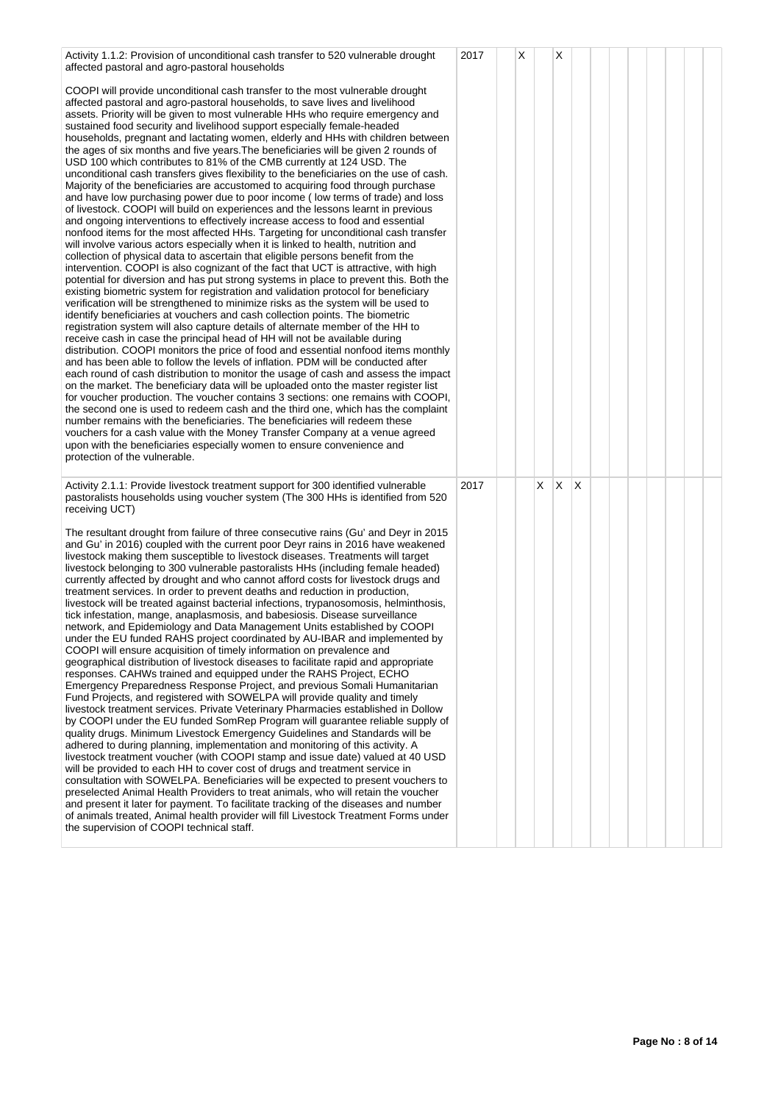| Activity 1.1.2: Provision of unconditional cash transfer to 520 vulnerable drought<br>affected pastoral and agro-pastoral households                                                                                                                                                                                                                                                                                                                                                                                                                                                                                                                                                                                                                                                                                                                                                                                                                                                                                                                                                                                                                                                                                                                                                                                                                                                                                                                                                                                                                                                                                                                                                                                                                                                                                                                                                                                                                                                                                                                                                                                                                                                                                                                                                                                                                                                                                                                                                                                                                                                                                                                                                               | 2017 | Х |    | X |   |  |  |  |  |
|----------------------------------------------------------------------------------------------------------------------------------------------------------------------------------------------------------------------------------------------------------------------------------------------------------------------------------------------------------------------------------------------------------------------------------------------------------------------------------------------------------------------------------------------------------------------------------------------------------------------------------------------------------------------------------------------------------------------------------------------------------------------------------------------------------------------------------------------------------------------------------------------------------------------------------------------------------------------------------------------------------------------------------------------------------------------------------------------------------------------------------------------------------------------------------------------------------------------------------------------------------------------------------------------------------------------------------------------------------------------------------------------------------------------------------------------------------------------------------------------------------------------------------------------------------------------------------------------------------------------------------------------------------------------------------------------------------------------------------------------------------------------------------------------------------------------------------------------------------------------------------------------------------------------------------------------------------------------------------------------------------------------------------------------------------------------------------------------------------------------------------------------------------------------------------------------------------------------------------------------------------------------------------------------------------------------------------------------------------------------------------------------------------------------------------------------------------------------------------------------------------------------------------------------------------------------------------------------------------------------------------------------------------------------------------------------------|------|---|----|---|---|--|--|--|--|
| COOPI will provide unconditional cash transfer to the most vulnerable drought<br>affected pastoral and agro-pastoral households, to save lives and livelihood<br>assets. Priority will be given to most vulnerable HHs who require emergency and<br>sustained food security and livelihood support especially female-headed<br>households, pregnant and lactating women, elderly and HHs with children between<br>the ages of six months and five years. The beneficiaries will be given 2 rounds of<br>USD 100 which contributes to 81% of the CMB currently at 124 USD. The<br>unconditional cash transfers gives flexibility to the beneficiaries on the use of cash.<br>Majority of the beneficiaries are accustomed to acquiring food through purchase<br>and have low purchasing power due to poor income (low terms of trade) and loss<br>of livestock. COOPI will build on experiences and the lessons learnt in previous<br>and ongoing interventions to effectively increase access to food and essential<br>nonfood items for the most affected HHs. Targeting for unconditional cash transfer<br>will involve various actors especially when it is linked to health, nutrition and<br>collection of physical data to ascertain that eligible persons benefit from the<br>intervention. COOPI is also cognizant of the fact that UCT is attractive, with high<br>potential for diversion and has put strong systems in place to prevent this. Both the<br>existing biometric system for registration and validation protocol for beneficiary<br>verification will be strengthened to minimize risks as the system will be used to<br>identify beneficiaries at vouchers and cash collection points. The biometric<br>registration system will also capture details of alternate member of the HH to<br>receive cash in case the principal head of HH will not be available during<br>distribution. COOPI monitors the price of food and essential nonfood items monthly<br>and has been able to follow the levels of inflation. PDM will be conducted after<br>each round of cash distribution to monitor the usage of cash and assess the impact<br>on the market. The beneficiary data will be uploaded onto the master register list<br>for voucher production. The voucher contains 3 sections: one remains with COOPI,<br>the second one is used to redeem cash and the third one, which has the complaint<br>number remains with the beneficiaries. The beneficiaries will redeem these<br>vouchers for a cash value with the Money Transfer Company at a venue agreed<br>upon with the beneficiaries especially women to ensure convenience and<br>protection of the vulnerable. |      |   |    |   |   |  |  |  |  |
| Activity 2.1.1: Provide livestock treatment support for 300 identified vulnerable<br>pastoralists households using voucher system (The 300 HHs is identified from 520<br>receiving UCT)                                                                                                                                                                                                                                                                                                                                                                                                                                                                                                                                                                                                                                                                                                                                                                                                                                                                                                                                                                                                                                                                                                                                                                                                                                                                                                                                                                                                                                                                                                                                                                                                                                                                                                                                                                                                                                                                                                                                                                                                                                                                                                                                                                                                                                                                                                                                                                                                                                                                                                            | 2017 |   | X. | Χ | Х |  |  |  |  |
| The resultant drought from failure of three consecutive rains (Gu' and Deyr in 2015<br>and Gu' in 2016) coupled with the current poor Deyr rains in 2016 have weakened<br>livestock making them susceptible to livestock diseases. Treatments will target<br>livestock belonging to 300 vulnerable pastoralists HHs (including female headed)<br>currently affected by drought and who cannot afford costs for livestock drugs and<br>treatment services. In order to prevent deaths and reduction in production,<br>livestock will be treated against bacterial infections, trypanosomosis, helminthosis,<br>tick infestation, mange, anaplasmosis, and babesiosis. Disease surveillance<br>network, and Epidemiology and Data Management Units established by COOPI<br>under the EU funded RAHS project coordinated by AU-IBAR and implemented by<br>COOPI will ensure acquisition of timely information on prevalence and<br>geographical distribution of livestock diseases to facilitate rapid and appropriate<br>responses. CAHWs trained and equipped under the RAHS Project, ECHO<br>Emergency Preparedness Response Project, and previous Somali Humanitarian<br>Fund Projects, and registered with SOWELPA will provide quality and timely<br>livestock treatment services. Private Veterinary Pharmacies established in Dollow<br>by COOPI under the EU funded SomRep Program will guarantee reliable supply of<br>quality drugs. Minimum Livestock Emergency Guidelines and Standards will be<br>adhered to during planning, implementation and monitoring of this activity. A<br>livestock treatment voucher (with COOPI stamp and issue date) valued at 40 USD<br>will be provided to each HH to cover cost of drugs and treatment service in<br>consultation with SOWELPA. Beneficiaries will be expected to present vouchers to<br>preselected Animal Health Providers to treat animals, who will retain the voucher<br>and present it later for payment. To facilitate tracking of the diseases and number<br>of animals treated, Animal health provider will fill Livestock Treatment Forms under<br>the supervision of COOPI technical staff.                                                                                                                                                                                                                                                                                                                                                                                                                                                                                                                                   |      |   |    |   |   |  |  |  |  |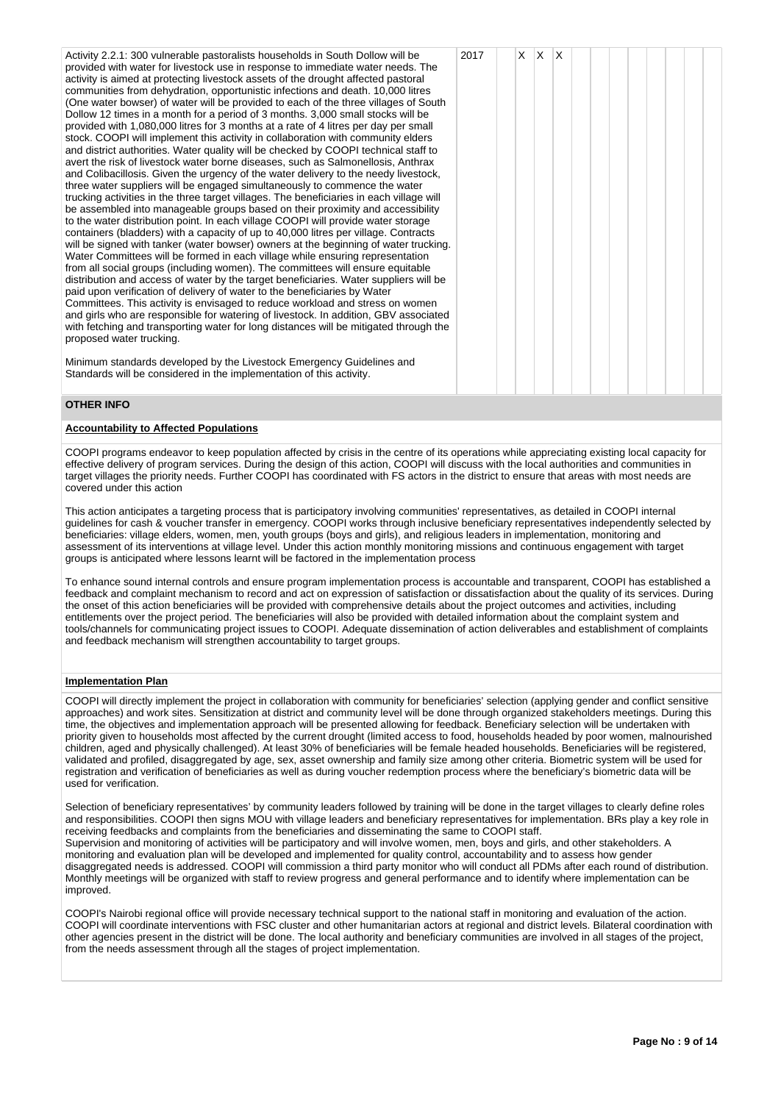| Activity 2.2.1: 300 vulnerable pastoralists households in South Dollow will be<br>provided with water for livestock use in response to immediate water needs. The<br>activity is aimed at protecting livestock assets of the drought affected pastoral<br>communities from dehydration, opportunistic infections and death. 10,000 litres<br>(One water bowser) of water will be provided to each of the three villages of South<br>Dollow 12 times in a month for a period of 3 months. 3,000 small stocks will be<br>provided with 1,080,000 litres for 3 months at a rate of 4 litres per day per small<br>stock. COOPI will implement this activity in collaboration with community elders<br>and district authorities. Water quality will be checked by COOPI technical staff to<br>avert the risk of livestock water borne diseases, such as Salmonellosis, Anthrax<br>and Colibacillosis. Given the urgency of the water delivery to the needy livestock,<br>three water suppliers will be engaged simultaneously to commence the water<br>trucking activities in the three target villages. The beneficiaries in each village will<br>be assembled into manageable groups based on their proximity and accessibility<br>to the water distribution point. In each village COOPI will provide water storage<br>containers (bladders) with a capacity of up to 40,000 litres per village. Contracts<br>will be signed with tanker (water bowser) owners at the beginning of water trucking.<br>Water Committees will be formed in each village while ensuring representation<br>from all social groups (including women). The committees will ensure equitable<br>distribution and access of water by the target beneficiaries. Water suppliers will be<br>paid upon verification of delivery of water to the beneficiaries by Water<br>Committees. This activity is envisaged to reduce workload and stress on women<br>and girls who are responsible for watering of livestock. In addition, GBV associated<br>with fetching and transporting water for long distances will be mitigated through the<br>proposed water trucking. | 2017 | X. | $\mathsf{X}$ | $\mathsf{I} \mathsf{X}$ |  |  |  |  |
|-----------------------------------------------------------------------------------------------------------------------------------------------------------------------------------------------------------------------------------------------------------------------------------------------------------------------------------------------------------------------------------------------------------------------------------------------------------------------------------------------------------------------------------------------------------------------------------------------------------------------------------------------------------------------------------------------------------------------------------------------------------------------------------------------------------------------------------------------------------------------------------------------------------------------------------------------------------------------------------------------------------------------------------------------------------------------------------------------------------------------------------------------------------------------------------------------------------------------------------------------------------------------------------------------------------------------------------------------------------------------------------------------------------------------------------------------------------------------------------------------------------------------------------------------------------------------------------------------------------------------------------------------------------------------------------------------------------------------------------------------------------------------------------------------------------------------------------------------------------------------------------------------------------------------------------------------------------------------------------------------------------------------------------------------------------------------------------------------------------------------------------------|------|----|--------------|-------------------------|--|--|--|--|
| Minimum standards developed by the Livestock Emergency Guidelines and                                                                                                                                                                                                                                                                                                                                                                                                                                                                                                                                                                                                                                                                                                                                                                                                                                                                                                                                                                                                                                                                                                                                                                                                                                                                                                                                                                                                                                                                                                                                                                                                                                                                                                                                                                                                                                                                                                                                                                                                                                                                   |      |    |              |                         |  |  |  |  |

Minimum standards developed by the Livestock Emergency Guidelines and Standards will be considered in the implementation of this activity.

# **OTHER INFO**

# **Accountability to Affected Populations**

COOPI programs endeavor to keep population affected by crisis in the centre of its operations while appreciating existing local capacity for effective delivery of program services. During the design of this action, COOPI will discuss with the local authorities and communities in target villages the priority needs. Further COOPI has coordinated with FS actors in the district to ensure that areas with most needs are covered under this action

This action anticipates a targeting process that is participatory involving communities' representatives, as detailed in COOPI internal guidelines for cash & voucher transfer in emergency. COOPI works through inclusive beneficiary representatives independently selected by beneficiaries: village elders, women, men, youth groups (boys and girls), and religious leaders in implementation, monitoring and assessment of its interventions at village level. Under this action monthly monitoring missions and continuous engagement with target groups is anticipated where lessons learnt will be factored in the implementation process

To enhance sound internal controls and ensure program implementation process is accountable and transparent, COOPI has established a feedback and complaint mechanism to record and act on expression of satisfaction or dissatisfaction about the quality of its services. During the onset of this action beneficiaries will be provided with comprehensive details about the project outcomes and activities, including entitlements over the project period. The beneficiaries will also be provided with detailed information about the complaint system and tools/channels for communicating project issues to COOPI. Adequate dissemination of action deliverables and establishment of complaints and feedback mechanism will strengthen accountability to target groups.

# **Implementation Plan**

COOPI will directly implement the project in collaboration with community for beneficiaries' selection (applying gender and conflict sensitive approaches) and work sites. Sensitization at district and community level will be done through organized stakeholders meetings. During this time, the objectives and implementation approach will be presented allowing for feedback. Beneficiary selection will be undertaken with priority given to households most affected by the current drought (limited access to food, households headed by poor women, malnourished children, aged and physically challenged). At least 30% of beneficiaries will be female headed households. Beneficiaries will be registered, validated and profiled, disaggregated by age, sex, asset ownership and family size among other criteria. Biometric system will be used for registration and verification of beneficiaries as well as during voucher redemption process where the beneficiary's biometric data will be used for verification.

Selection of beneficiary representatives' by community leaders followed by training will be done in the target villages to clearly define roles and responsibilities. COOPI then signs MOU with village leaders and beneficiary representatives for implementation. BRs play a key role in receiving feedbacks and complaints from the beneficiaries and disseminating the same to COOPI staff. Supervision and monitoring of activities will be participatory and will involve women, men, boys and girls, and other stakeholders. A monitoring and evaluation plan will be developed and implemented for quality control, accountability and to assess how gender disaggregated needs is addressed. COOPI will commission a third party monitor who will conduct all PDMs after each round of distribution. Monthly meetings will be organized with staff to review progress and general performance and to identify where implementation can be improved.

COOPI's Nairobi regional office will provide necessary technical support to the national staff in monitoring and evaluation of the action. COOPI will coordinate interventions with FSC cluster and other humanitarian actors at regional and district levels. Bilateral coordination with other agencies present in the district will be done. The local authority and beneficiary communities are involved in all stages of the project, from the needs assessment through all the stages of project implementation.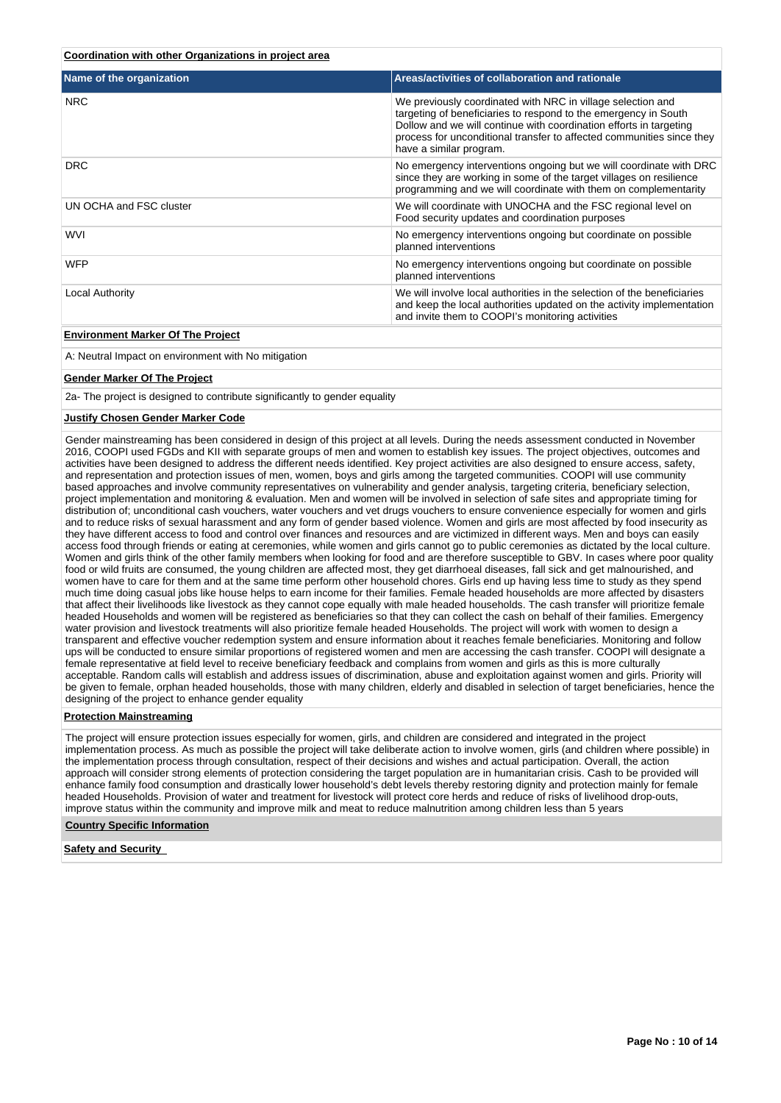# **Coordination with other Organizations in project area**

| Name of the organization        | Areas/activities of collaboration and rationale                                                                                                                                                                                                                                                          |
|---------------------------------|----------------------------------------------------------------------------------------------------------------------------------------------------------------------------------------------------------------------------------------------------------------------------------------------------------|
| <b>NRC</b>                      | We previously coordinated with NRC in village selection and<br>targeting of beneficiaries to respond to the emergency in South<br>Dollow and we will continue with coordination efforts in targeting<br>process for unconditional transfer to affected communities since they<br>have a similar program. |
| <b>DRC</b>                      | No emergency interventions ongoing but we will coordinate with DRC<br>since they are working in some of the target villages on resilience<br>programming and we will coordinate with them on complementarity                                                                                             |
| UN OCHA and FSC cluster         | We will coordinate with UNOCHA and the FSC regional level on<br>Food security updates and coordination purposes                                                                                                                                                                                          |
| <b>WVI</b>                      | No emergency interventions ongoing but coordinate on possible<br>planned interventions                                                                                                                                                                                                                   |
| <b>WFP</b>                      | No emergency interventions ongoing but coordinate on possible<br>planned interventions                                                                                                                                                                                                                   |
| Local Authority                 | We will involve local authorities in the selection of the beneficiaries<br>and keep the local authorities updated on the activity implementation<br>and invite them to COOPI's monitoring activities                                                                                                     |
| Fordermore Mader Of The Besteat |                                                                                                                                                                                                                                                                                                          |

# **Environment Marker Of The Project**

A: Neutral Impact on environment with No mitigation

### **Gender Marker Of The Project**

2a- The project is designed to contribute significantly to gender equality

#### **Justify Chosen Gender Marker Code**

Gender mainstreaming has been considered in design of this project at all levels. During the needs assessment conducted in November 2016, COOPI used FGDs and KII with separate groups of men and women to establish key issues. The project objectives, outcomes and activities have been designed to address the different needs identified. Key project activities are also designed to ensure access, safety, and representation and protection issues of men, women, boys and girls among the targeted communities. COOPI will use community based approaches and involve community representatives on vulnerability and gender analysis, targeting criteria, beneficiary selection, project implementation and monitoring & evaluation. Men and women will be involved in selection of safe sites and appropriate timing for distribution of; unconditional cash vouchers, water vouchers and vet drugs vouchers to ensure convenience especially for women and girls and to reduce risks of sexual harassment and any form of gender based violence. Women and girls are most affected by food insecurity as they have different access to food and control over finances and resources and are victimized in different ways. Men and boys can easily access food through friends or eating at ceremonies, while women and girls cannot go to public ceremonies as dictated by the local culture. Women and girls think of the other family members when looking for food and are therefore susceptible to GBV. In cases where poor quality food or wild fruits are consumed, the young children are affected most, they get diarrhoeal diseases, fall sick and get malnourished, and women have to care for them and at the same time perform other household chores. Girls end up having less time to study as they spend much time doing casual jobs like house helps to earn income for their families. Female headed households are more affected by disasters that affect their livelihoods like livestock as they cannot cope equally with male headed households. The cash transfer will prioritize female headed Households and women will be registered as beneficiaries so that they can collect the cash on behalf of their families. Emergency water provision and livestock treatments will also prioritize female headed Households. The project will work with women to design a transparent and effective voucher redemption system and ensure information about it reaches female beneficiaries. Monitoring and follow ups will be conducted to ensure similar proportions of registered women and men are accessing the cash transfer. COOPI will designate a female representative at field level to receive beneficiary feedback and complains from women and girls as this is more culturally acceptable. Random calls will establish and address issues of discrimination, abuse and exploitation against women and girls. Priority will be given to female, orphan headed households, those with many children, elderly and disabled in selection of target beneficiaries, hence the designing of the project to enhance gender equality

# **Protection Mainstreaming**

The project will ensure protection issues especially for women, girls, and children are considered and integrated in the project implementation process. As much as possible the project will take deliberate action to involve women, girls (and children where possible) in the implementation process through consultation, respect of their decisions and wishes and actual participation. Overall, the action approach will consider strong elements of protection considering the target population are in humanitarian crisis. Cash to be provided will enhance family food consumption and drastically lower household's debt levels thereby restoring dignity and protection mainly for female headed Households. Provision of water and treatment for livestock will protect core herds and reduce of risks of livelihood drop-outs, improve status within the community and improve milk and meat to reduce malnutrition among children less than 5 years

#### **Country Specific Information**

### **Safety and Security**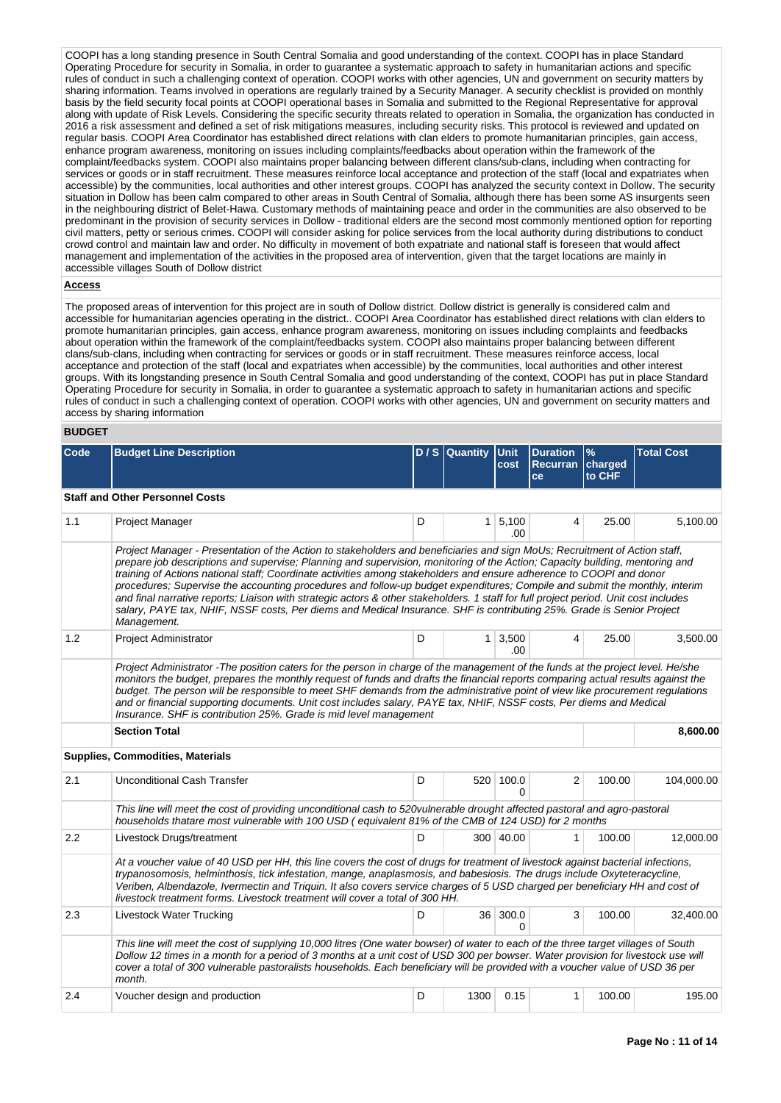COOPI has a long standing presence in South Central Somalia and good understanding of the context. COOPI has in place Standard Operating Procedure for security in Somalia, in order to guarantee a systematic approach to safety in humanitarian actions and specific rules of conduct in such a challenging context of operation. COOPI works with other agencies, UN and government on security matters by sharing information. Teams involved in operations are regularly trained by a Security Manager. A security checklist is provided on monthly basis by the field security focal points at COOPI operational bases in Somalia and submitted to the Regional Representative for approval along with update of Risk Levels. Considering the specific security threats related to operation in Somalia, the organization has conducted in 2016 a risk assessment and defined a set of risk mitigations measures, including security risks. This protocol is reviewed and updated on regular basis. COOPI Area Coordinator has established direct relations with clan elders to promote humanitarian principles, gain access, enhance program awareness, monitoring on issues including complaints/feedbacks about operation within the framework of the complaint/feedbacks system. COOPI also maintains proper balancing between different clans/sub-clans, including when contracting for services or goods or in staff recruitment. These measures reinforce local acceptance and protection of the staff (local and expatriates when accessible) by the communities, local authorities and other interest groups. COOPI has analyzed the security context in Dollow. The security situation in Dollow has been calm compared to other areas in South Central of Somalia, although there has been some AS insurgents seen in the neighbouring district of Belet-Hawa. Customary methods of maintaining peace and order in the communities are also observed to be predominant in the provision of security services in Dollow - traditional elders are the second most commonly mentioned option for reporting civil matters, petty or serious crimes. COOPI will consider asking for police services from the local authority during distributions to conduct crowd control and maintain law and order. No difficulty in movement of both expatriate and national staff is foreseen that would affect management and implementation of the activities in the proposed area of intervention, given that the target locations are mainly in accessible villages South of Dollow district

# **Access**

The proposed areas of intervention for this project are in south of Dollow district. Dollow district is generally is considered calm and accessible for humanitarian agencies operating in the district.. COOPI Area Coordinator has established direct relations with clan elders to promote humanitarian principles, gain access, enhance program awareness, monitoring on issues including complaints and feedbacks about operation within the framework of the complaint/feedbacks system. COOPI also maintains proper balancing between different clans/sub-clans, including when contracting for services or goods or in staff recruitment. These measures reinforce access, local acceptance and protection of the staff (local and expatriates when accessible) by the communities, local authorities and other interest groups. With its longstanding presence in South Central Somalia and good understanding of the context, COOPI has put in place Standard Operating Procedure for security in Somalia, in order to guarantee a systematic approach to safety in humanitarian actions and specific rules of conduct in such a challenging context of operation. COOPI works with other agencies, UN and government on security matters and access by sharing information

#### **BUDGET**

| <b>Code</b>      | <b>Budget Line Description</b>                                                                                                                                                                                                                                                                                                                                                                                                                                                                                                                                                                                                                                                                                                                                                                   |   | D / S Quantity Unit | cost                  | <b>Duration</b><br>Recurran charged<br>ce | $\frac{9}{6}$<br>to CHF | <b>Total Cost</b> |
|------------------|--------------------------------------------------------------------------------------------------------------------------------------------------------------------------------------------------------------------------------------------------------------------------------------------------------------------------------------------------------------------------------------------------------------------------------------------------------------------------------------------------------------------------------------------------------------------------------------------------------------------------------------------------------------------------------------------------------------------------------------------------------------------------------------------------|---|---------------------|-----------------------|-------------------------------------------|-------------------------|-------------------|
|                  | <b>Staff and Other Personnel Costs</b>                                                                                                                                                                                                                                                                                                                                                                                                                                                                                                                                                                                                                                                                                                                                                           |   |                     |                       |                                           |                         |                   |
| 1.1              | <b>Project Manager</b>                                                                                                                                                                                                                                                                                                                                                                                                                                                                                                                                                                                                                                                                                                                                                                           | D |                     | $1 \mid 5,100$<br>.00 | 4                                         | 25.00                   | 5,100.00          |
|                  | Project Manager - Presentation of the Action to stakeholders and beneficiaries and sign MoUs; Recruitment of Action staff,<br>prepare job descriptions and supervise; Planning and supervision, monitoring of the Action; Capacity building, mentoring and<br>training of Actions national staff; Coordinate activities among stakeholders and ensure adherence to COOPI and donor<br>procedures; Supervise the accounting procedures and follow-up budget expenditures; Compile and submit the monthly, interim<br>and final narrative reports; Liaison with strategic actors & other stakeholders. 1 staff for full project period. Unit cost includes<br>salary, PAYE tax, NHIF, NSSF costs, Per diems and Medical Insurance. SHF is contributing 25%. Grade is Senior Project<br>Management. |   |                     |                       |                                           |                         |                   |
| 1.2              | <b>Project Administrator</b>                                                                                                                                                                                                                                                                                                                                                                                                                                                                                                                                                                                                                                                                                                                                                                     | D |                     | $1 \, 3,500$<br>.00   | 4                                         | 25.00                   | 3,500.00          |
|                  | Project Administrator - The position caters for the person in charge of the management of the funds at the project level. He/she<br>monitors the budget, prepares the monthly request of funds and drafts the financial reports comparing actual results against the<br>budget. The person will be responsible to meet SHF demands from the administrative point of view like procurement requlations<br>and or financial supporting documents. Unit cost includes salary, PAYE tax, NHIF, NSSF costs, Per diems and Medical<br>Insurance. SHF is contribution 25%. Grade is mid level management                                                                                                                                                                                                |   |                     |                       |                                           |                         |                   |
|                  | <b>Section Total</b>                                                                                                                                                                                                                                                                                                                                                                                                                                                                                                                                                                                                                                                                                                                                                                             |   |                     |                       |                                           |                         | 8,600.00          |
|                  | <b>Supplies, Commodities, Materials</b>                                                                                                                                                                                                                                                                                                                                                                                                                                                                                                                                                                                                                                                                                                                                                          |   |                     |                       |                                           |                         |                   |
| 2.1              | <b>Unconditional Cash Transfer</b>                                                                                                                                                                                                                                                                                                                                                                                                                                                                                                                                                                                                                                                                                                                                                               | D |                     | 520 100.0<br>$\Omega$ | 2                                         | 100.00                  | 104,000.00        |
|                  | This line will meet the cost of providing unconditional cash to 520vulnerable drought affected pastoral and agro-pastoral<br>households thatare most vulnerable with 100 USD (equivalent 81% of the CMB of 124 USD) for 2 months                                                                                                                                                                                                                                                                                                                                                                                                                                                                                                                                                                 |   |                     |                       |                                           |                         |                   |
| $2.2\phantom{0}$ | Livestock Drugs/treatment                                                                                                                                                                                                                                                                                                                                                                                                                                                                                                                                                                                                                                                                                                                                                                        | D |                     | 300 40.00             | 1                                         | 100.00                  | 12,000.00         |
|                  | At a voucher value of 40 USD per HH, this line covers the cost of drugs for treatment of livestock against bacterial infections,<br>trypanosomosis, helminthosis, tick infestation, mange, anaplasmosis, and babesiosis. The drugs include Oxyteteracycline,<br>Veriben, Albendazole, Ivermectin and Triquin. It also covers service charges of 5 USD charged per beneficiary HH and cost of<br>livestock treatment forms. Livestock treatment will cover a total of 300 HH.                                                                                                                                                                                                                                                                                                                     |   |                     |                       |                                           |                         |                   |
| 2.3              | <b>Livestock Water Trucking</b>                                                                                                                                                                                                                                                                                                                                                                                                                                                                                                                                                                                                                                                                                                                                                                  | D |                     | 36 300.0<br>$\Omega$  | 3                                         | 100.00                  | 32,400.00         |
|                  | This line will meet the cost of supplying 10,000 litres (One water bowser) of water to each of the three target villages of South<br>Dollow 12 times in a month for a period of 3 months at a unit cost of USD 300 per bowser. Water provision for livestock use will<br>cover a total of 300 vulnerable pastoralists households. Each beneficiary will be provided with a voucher value of USD 36 per<br>month.                                                                                                                                                                                                                                                                                                                                                                                 |   |                     |                       |                                           |                         |                   |
| 2.4              | Voucher design and production                                                                                                                                                                                                                                                                                                                                                                                                                                                                                                                                                                                                                                                                                                                                                                    | D | 1300                | 0.15                  | 1                                         | 100.00                  | 195.00            |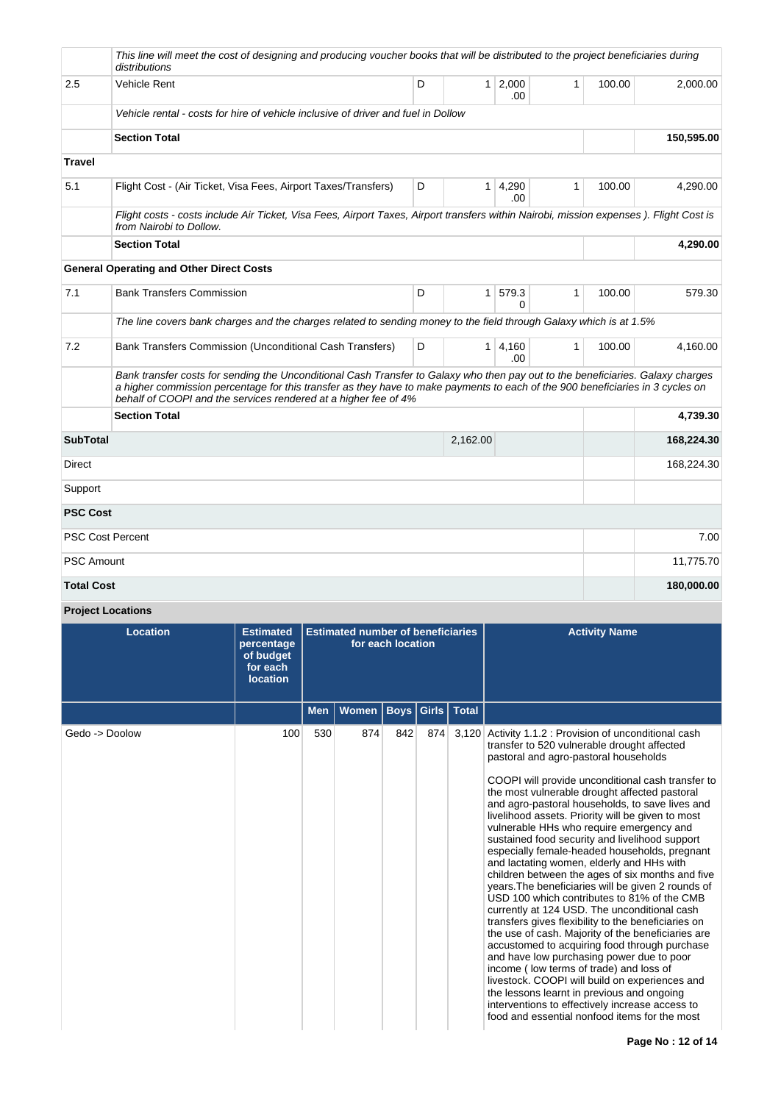|                   | This line will meet the cost of designing and producing voucher books that will be distributed to the project beneficiaries during<br>distributions                                                                                                                                                                                  |   |                |                      |              |        |            |
|-------------------|--------------------------------------------------------------------------------------------------------------------------------------------------------------------------------------------------------------------------------------------------------------------------------------------------------------------------------------|---|----------------|----------------------|--------------|--------|------------|
| 2.5               | <b>Vehicle Rent</b>                                                                                                                                                                                                                                                                                                                  | D |                | $1 \ 2,000$<br>.00.  | $\mathbf{1}$ | 100.00 | 2,000.00   |
|                   | Vehicle rental - costs for hire of vehicle inclusive of driver and fuel in Dollow                                                                                                                                                                                                                                                    |   |                |                      |              |        |            |
|                   | <b>Section Total</b>                                                                                                                                                                                                                                                                                                                 |   |                |                      |              |        | 150,595.00 |
| <b>Travel</b>     |                                                                                                                                                                                                                                                                                                                                      |   |                |                      |              |        |            |
| 5.1               | Flight Cost - (Air Ticket, Visa Fees, Airport Taxes/Transfers)                                                                                                                                                                                                                                                                       | D | 1 <sup>1</sup> | 4,290<br>.00.        | 1            | 100.00 | 4,290.00   |
|                   | Flight costs - costs include Air Ticket, Visa Fees, Airport Taxes, Airport transfers within Nairobi, mission expenses). Flight Cost is<br>from Nairobi to Dollow.                                                                                                                                                                    |   |                |                      |              |        |            |
|                   | <b>Section Total</b>                                                                                                                                                                                                                                                                                                                 |   |                |                      |              |        | 4,290.00   |
|                   | <b>General Operating and Other Direct Costs</b>                                                                                                                                                                                                                                                                                      |   |                |                      |              |        |            |
| 7.1               | <b>Bank Transfers Commission</b>                                                                                                                                                                                                                                                                                                     | D | 1 <sup>1</sup> | 579.3<br>0           | 1            | 100.00 | 579.30     |
|                   | The line covers bank charges and the charges related to sending money to the field through Galaxy which is at 1.5%                                                                                                                                                                                                                   |   |                |                      |              |        |            |
| 7.2               | Bank Transfers Commission (Unconditional Cash Transfers)                                                                                                                                                                                                                                                                             | D |                | $1 \, 4.160$<br>.00. | $\mathbf{1}$ | 100.00 | 4,160.00   |
|                   | Bank transfer costs for sending the Unconditional Cash Transfer to Galaxy who then pay out to the beneficiaries. Galaxy charges<br>a higher commission percentage for this transfer as they have to make payments to each of the 900 beneficiaries in 3 cycles on<br>behalf of COOPI and the services rendered at a higher fee of 4% |   |                |                      |              |        |            |
|                   | <b>Section Total</b>                                                                                                                                                                                                                                                                                                                 |   |                |                      |              |        | 4.739.30   |
| <b>SubTotal</b>   |                                                                                                                                                                                                                                                                                                                                      |   | 2,162.00       |                      |              |        | 168,224.30 |
| Direct            |                                                                                                                                                                                                                                                                                                                                      |   |                |                      |              |        | 168,224.30 |
| Support           |                                                                                                                                                                                                                                                                                                                                      |   |                |                      |              |        |            |
| <b>PSC Cost</b>   |                                                                                                                                                                                                                                                                                                                                      |   |                |                      |              |        |            |
|                   | <b>PSC Cost Percent</b>                                                                                                                                                                                                                                                                                                              |   |                |                      |              |        | 7.00       |
| <b>PSC Amount</b> |                                                                                                                                                                                                                                                                                                                                      |   |                |                      |              |        | 11,775.70  |
| <b>Total Cost</b> |                                                                                                                                                                                                                                                                                                                                      |   |                |                      |              |        | 180,000.00 |

**Project Locations**

| <b>Location</b> | <b>Estimated</b><br>percentage<br>of budget<br>for each<br><b>location</b> | <b>Estimated number of beneficiaries</b><br>for each location |       |     |                      | <b>Activity Name</b>                                                                                                                                                                                                                                                                                                                                                                                                                                                                                                                                                                                                                                                                                                                                                                                                                                                                                                                                                                                                                                                                                                                                                                                                            |
|-----------------|----------------------------------------------------------------------------|---------------------------------------------------------------|-------|-----|----------------------|---------------------------------------------------------------------------------------------------------------------------------------------------------------------------------------------------------------------------------------------------------------------------------------------------------------------------------------------------------------------------------------------------------------------------------------------------------------------------------------------------------------------------------------------------------------------------------------------------------------------------------------------------------------------------------------------------------------------------------------------------------------------------------------------------------------------------------------------------------------------------------------------------------------------------------------------------------------------------------------------------------------------------------------------------------------------------------------------------------------------------------------------------------------------------------------------------------------------------------|
|                 |                                                                            | <b>Men</b>                                                    | Women |     | Boys   Girls   Total |                                                                                                                                                                                                                                                                                                                                                                                                                                                                                                                                                                                                                                                                                                                                                                                                                                                                                                                                                                                                                                                                                                                                                                                                                                 |
| Gedo -> Doolow  | 100                                                                        | 530                                                           | 874   | 842 |                      | 874 3,120 Activity 1.1.2 : Provision of unconditional cash<br>transfer to 520 vulnerable drought affected<br>pastoral and agro-pastoral households<br>COOPI will provide unconditional cash transfer to<br>the most vulnerable drought affected pastoral<br>and agro-pastoral households, to save lives and<br>livelihood assets. Priority will be given to most<br>vulnerable HHs who require emergency and<br>sustained food security and livelihood support<br>especially female-headed households, pregnant<br>and lactating women, elderly and HHs with<br>children between the ages of six months and five<br>years. The beneficiaries will be given 2 rounds of<br>USD 100 which contributes to 81% of the CMB<br>currently at 124 USD. The unconditional cash<br>transfers gives flexibility to the beneficiaries on<br>the use of cash. Majority of the beneficiaries are<br>accustomed to acquiring food through purchase<br>and have low purchasing power due to poor<br>income (low terms of trade) and loss of<br>livestock. COOPI will build on experiences and<br>the lessons learnt in previous and ongoing<br>interventions to effectively increase access to<br>food and essential nonfood items for the most |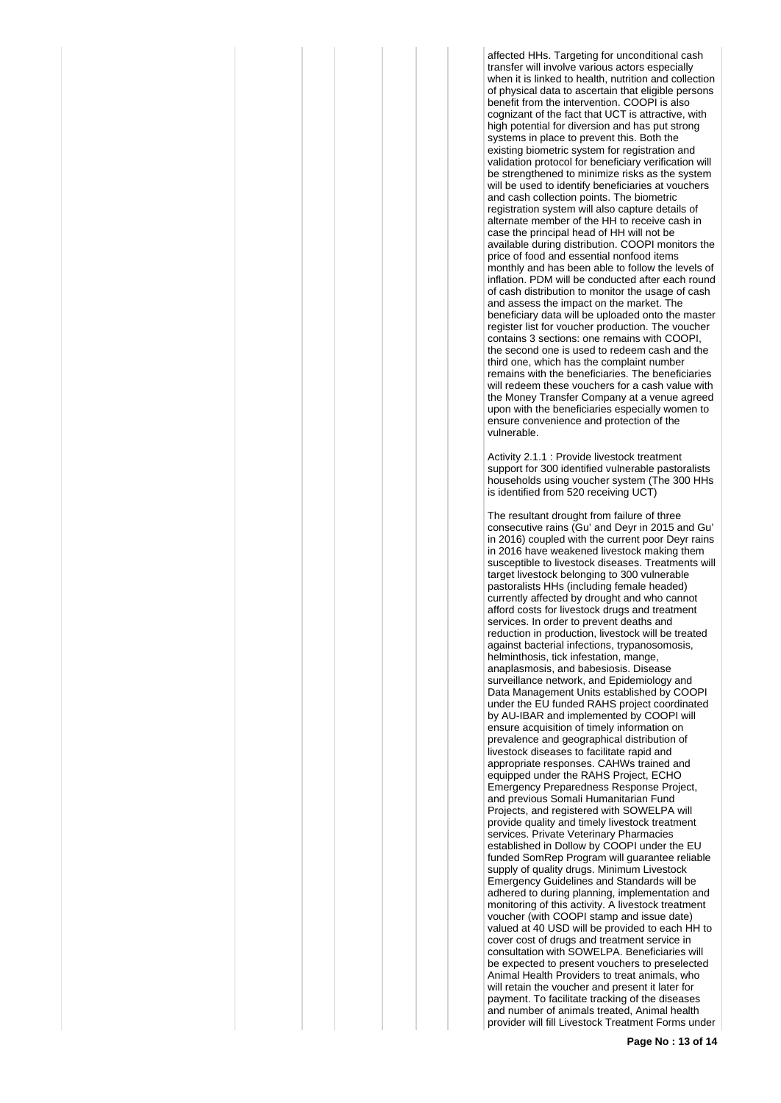affected HHs. Targeting for unconditional cash transfer will involve various actors especially when it is linked to health, nutrition and collection of physical data to ascertain that eligible persons benefit from the intervention. COOPI is also cognizant of the fact that UCT is attractive, with high potential for diversion and has put strong systems in place to prevent this. Both the existing biometric system for registration and validation protocol for beneficiary verification will be strengthened to minimize risks as the system will be used to identify beneficiaries at vouchers and cash collection points. The biometric registration system will also capture details of alternate member of the HH to receive cash in case the principal head of HH will not be available during distribution. COOPI monitors the price of food and essential nonfood items monthly and has been able to follow the levels of inflation. PDM will be conducted after each round of cash distribution to monitor the usage of cash and assess the impact on the market. The beneficiary data will be uploaded onto the master register list for voucher production. The voucher contains 3 sections: one remains with COOPI, the second one is used to redeem cash and the third one, which has the complaint number remains with the beneficiaries. The beneficiaries will redeem these vouchers for a cash value with the Money Transfer Company at a venue agreed upon with the beneficiaries especially women to ensure convenience and protection of the vulnerable.

Activity 2.1.1 : Provide livestock treatment support for 300 identified vulnerable pastoralists households using voucher system (The 300 HHs is identified from 520 receiving UCT)

The resultant drought from failure of three consecutive rains (Gu' and Deyr in 2015 and Gu' in 2016) coupled with the current poor Deyr rains in 2016 have weakened livestock making them susceptible to livestock diseases. Treatments will target livestock belonging to 300 vulnerable pastoralists HHs (including female headed) currently affected by drought and who cannot afford costs for livestock drugs and treatment services. In order to prevent deaths and reduction in production, livestock will be treated against bacterial infections, trypanosomosis, helminthosis, tick infestation, mange, anaplasmosis, and babesiosis. Disease surveillance network, and Epidemiology and Data Management Units established by COOPI under the EU funded RAHS project coordinated by AU-IBAR and implemented by COOPI will ensure acquisition of timely information on prevalence and geographical distribution of livestock diseases to facilitate rapid and appropriate responses. CAHWs trained and equipped under the RAHS Project, ECHO Emergency Preparedness Response Project, and previous Somali Humanitarian Fund Projects, and registered with SOWELPA will provide quality and timely livestock treatment services. Private Veterinary Pharmacies established in Dollow by COOPI under the EU funded SomRep Program will guarantee reliable supply of quality drugs. Minimum Livestock Emergency Guidelines and Standards will be adhered to during planning, implementation and monitoring of this activity. A livestock treatment voucher (with COOPI stamp and issue date) valued at 40 USD will be provided to each HH to cover cost of drugs and treatment service in consultation with SOWELPA. Beneficiaries will be expected to present vouchers to preselected Animal Health Providers to treat animals, who will retain the voucher and present it later for payment. To facilitate tracking of the diseases and number of animals treated, Animal health provider will fill Livestock Treatment Forms under

**Page No : 13 of 14**